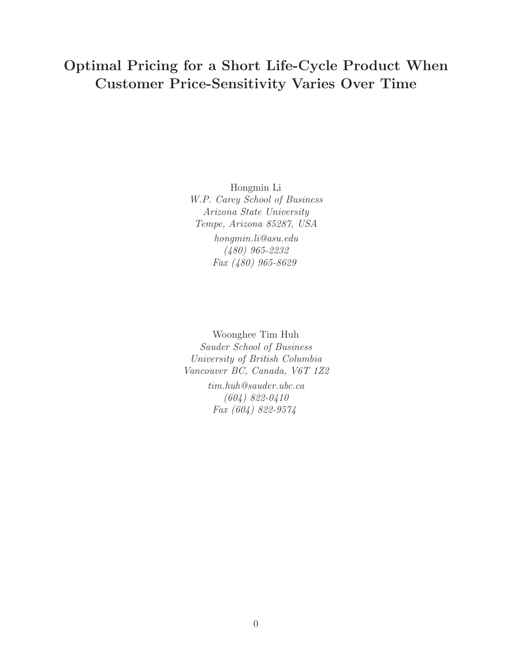# Optimal Pricing for a Short Life-Cycle Product When Customer Price-Sensitivity Varies Over Time

Hongmin Li *W.P. Carey School of Business Arizona State University Tempe, Arizona 85287, USA hongmin.li@asu.edu (480) 965-2232 Fax (480) 965-8629*

Woonghee Tim Huh *Sauder School of Business University of British Columbia Vancouver BC, Canada, V6T 1Z2*

*tim.huh@sauder.ubc.ca (604) 822-0410 Fax (604) 822-9574*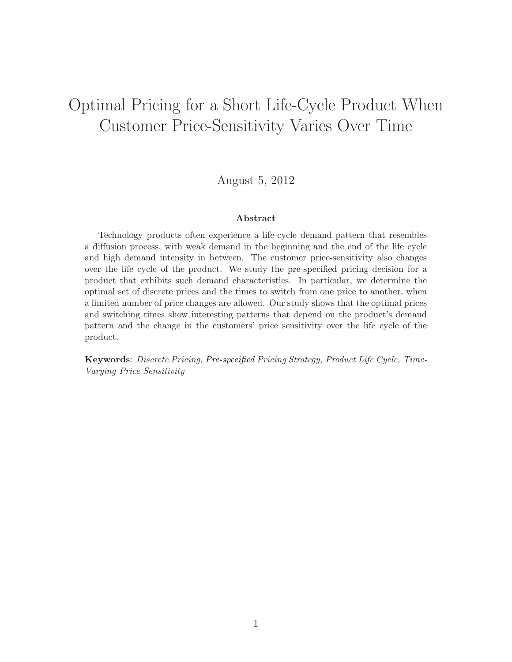# Optimal Pricing for a Short Life-Cycle Product When Customer Price-Sensitivity Varies Over Time

August 5, 2012

#### Abstract

Technology products often experience a life-cycle demand pattern that resembles a diffusion process, with weak demand in the beginning and the end of the life cycle and high demand intensity in between. The customer price-sensitivity also changes over the life cycle of the product. We study the pre-specified pricing decision for a product that exhibits such demand characteristics. In particular, we determine the optimal set of discrete prices and the times to switch from one price to another, when a limited number of price changes are allowed. Our study shows that the optimal prices and switching times show interesting patterns that depend on the product's demand pattern and the change in the customers' price sensitivity over the life cycle of the product.

Keywords: *Discrete Pricing, Pre-specified Pricing Strategy, Product Life Cycle, Time-Varying Price Sensitivity*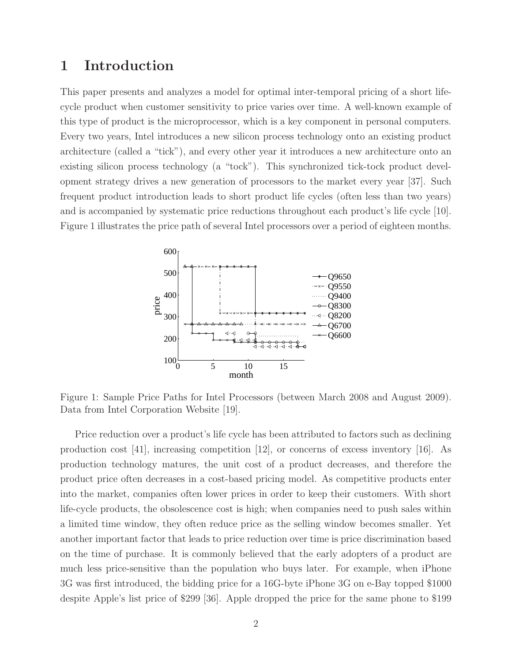### 1 Introduction

This paper presents and analyzes a model for optimal inter-temporal pricing of a short lifecycle product when customer sensitivity to price varies over time. A well-known example of this type of product is the microprocessor, which is a key component in personal computers. Every two years, Intel introduces a new silicon process technology onto an existing product architecture (called a "tick"), and every other year it introduces a new architecture onto an existing silicon process technology (a "tock"). This synchronized tick-tock product development strategy drives a new generation of processors to the market every year [37]. Such frequent product introduction leads to short product life cycles (often less than two years) and is accompanied by systematic price reductions throughout each product's life cycle [10]. Figure 1 illustrates the price path of several Intel processors over a period of eighteen months.



Figure 1: Sample Price Paths for Intel Processors (between March 2008 and August 2009). Data from Intel Corporation Website [19].

Price reduction over a product's life cycle has been attributed to factors such as declining production cost [41], increasing competition [12], or concerns of excess inventory [16]. As production technology matures, the unit cost of a product decreases, and therefore the product price often decreases in a cost-based pricing model. As competitive products enter into the market, companies often lower prices in order to keep their customers. With short life-cycle products, the obsolescence cost is high; when companies need to push sales within a limited time window, they often reduce price as the selling window becomes smaller. Yet another important factor that leads to price reduction over time is price discrimination based on the time of purchase. It is commonly believed that the early adopters of a product are much less price-sensitive than the population who buys later. For example, when iPhone 3G was first introduced, the bidding price for a 16G-byte iPhone 3G on e-Bay topped \$1000 despite Apple's list price of \$299 [36]. Apple dropped the price for the same phone to \$199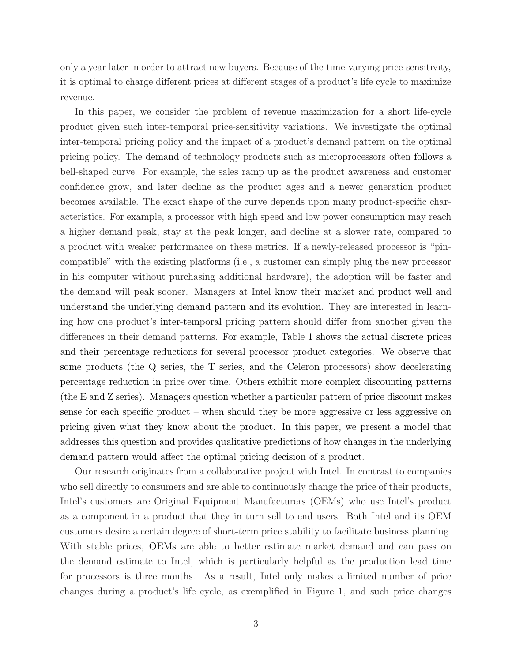only a year later in order to attract new buyers. Because of the time-varying price-sensitivity, it is optimal to charge different prices at different stages of a product's life cycle to maximize revenue.

In this paper, we consider the problem of revenue maximization for a short life-cycle product given such inter-temporal price-sensitivity variations. We investigate the optimal inter-temporal pricing policy and the impact of a product's demand pattern on the optimal pricing policy. The demand of technology products such as microprocessors often follows a bell-shaped curve. For example, the sales ramp up as the product awareness and customer confidence grow, and later decline as the product ages and a newer generation product becomes available. The exact shape of the curve depends upon many product-specific characteristics. For example, a processor with high speed and low power consumption may reach a higher demand peak, stay at the peak longer, and decline at a slower rate, compared to a product with weaker performance on these metrics. If a newly-released processor is "pincompatible" with the existing platforms (i.e., a customer can simply plug the new processor in his computer without purchasing additional hardware), the adoption will be faster and the demand will peak sooner. Managers at Intel know their market and product well and understand the underlying demand pattern and its evolution. They are interested in learning how one product's inter-temporal pricing pattern should differ from another given the differences in their demand patterns. For example, Table 1 shows the actual discrete prices and their percentage reductions for several processor product categories. We observe that some products (the Q series, the T series, and the Celeron processors) show decelerating percentage reduction in price over time. Others exhibit more complex discounting patterns (the E and Z series). Managers question whether a particular pattern of price discount makes sense for each specific product – when should they be more aggressive or less aggressive on pricing given what they know about the product. In this paper, we present a model that addresses this question and provides qualitative predictions of how changes in the underlying demand pattern would affect the optimal pricing decision of a product.

Our research originates from a collaborative project with Intel. In contrast to companies who sell directly to consumers and are able to continuously change the price of their products, Intel's customers are Original Equipment Manufacturers (OEMs) who use Intel's product as a component in a product that they in turn sell to end users. Both Intel and its OEM customers desire a certain degree of short-term price stability to facilitate business planning. With stable prices, OEMs are able to better estimate market demand and can pass on the demand estimate to Intel, which is particularly helpful as the production lead time for processors is three months. As a result, Intel only makes a limited number of price changes during a product's life cycle, as exemplified in Figure 1, and such price changes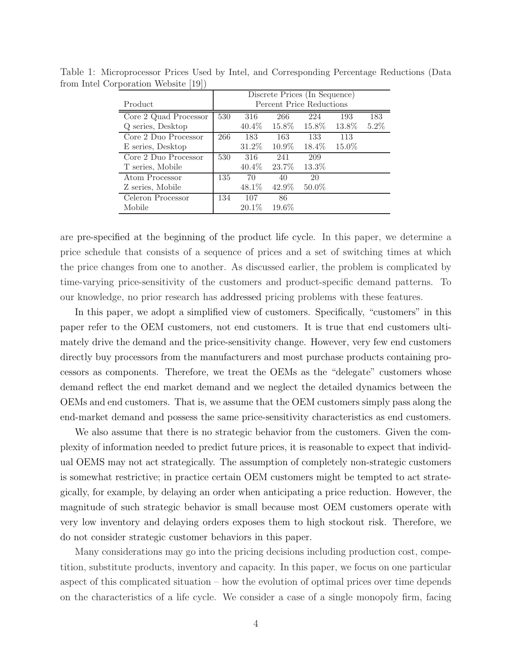| Discrete Prices (In Sequence)   |          |          |          |       |         |
|---------------------------------|----------|----------|----------|-------|---------|
| <b>Percent Price Reductions</b> |          |          |          |       |         |
| 530                             | 316      | 266      | 224      | 193   | 183     |
|                                 | $40.4\%$ | 15.8%    | 15.8%    | 13.8% | $5.2\%$ |
| 266                             | 183      | 163      | 133      | 113   |         |
|                                 | 31.2\%   | $10.9\%$ | 18.4\%   | 15.0% |         |
| 530                             | 316      | 241      | 209      |       |         |
|                                 | $40.4\%$ | 23.7\%   | 13.3%    |       |         |
| 135                             | 70       | 40       | 20       |       |         |
|                                 | 48.1\%   | 42.9%    | $50.0\%$ |       |         |
| 134                             | 107      | 86       |          |       |         |
|                                 | $20.1\%$ | $19.6\%$ |          |       |         |
|                                 |          |          |          |       |         |

Table 1: Microprocessor Prices Used by Intel, and Corresponding Percentage Reductions (Data from Intel Corporation Website [19])

 $\equiv$ 

are pre-specified at the beginning of the product life cycle. In this paper, we determine a price schedule that consists of a sequence of prices and a set of switching times at which the price changes from one to another. As discussed earlier, the problem is complicated by time-varying price-sensitivity of the customers and product-specific demand patterns. To our knowledge, no prior research has addressed pricing problems with these features.

In this paper, we adopt a simplified view of customers. Specifically, "customers" in this paper refer to the OEM customers, not end customers. It is true that end customers ultimately drive the demand and the price-sensitivity change. However, very few end customers directly buy processors from the manufacturers and most purchase products containing processors as components. Therefore, we treat the OEMs as the "delegate" customers whose demand reflect the end market demand and we neglect the detailed dynamics between the OEMs and end customers. That is, we assume that the OEM customers simply pass along the end-market demand and possess the same price-sensitivity characteristics as end customers.

We also assume that there is no strategic behavior from the customers. Given the complexity of information needed to predict future prices, it is reasonable to expect that individual OEMS may not act strategically. The assumption of completely non-strategic customers is somewhat restrictive; in practice certain OEM customers might be tempted to act strategically, for example, by delaying an order when anticipating a price reduction. However, the magnitude of such strategic behavior is small because most OEM customers operate with very low inventory and delaying orders exposes them to high stockout risk. Therefore, we do not consider strategic customer behaviors in this paper.

Many considerations may go into the pricing decisions including production cost, competition, substitute products, inventory and capacity. In this paper, we focus on one particular aspect of this complicated situation – how the evolution of optimal prices over time depends on the characteristics of a life cycle. We consider a case of a single monopoly firm, facing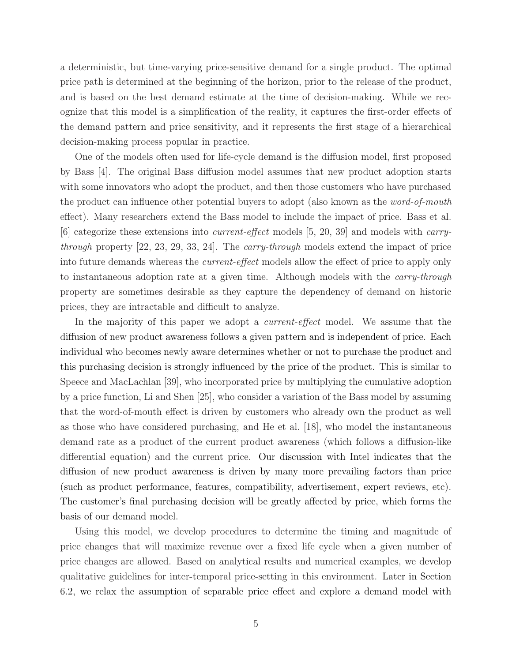a deterministic, but time-varying price-sensitive demand for a single product. The optimal price path is determined at the beginning of the horizon, prior to the release of the product, and is based on the best demand estimate at the time of decision-making. While we recognize that this model is a simplification of the reality, it captures the first-order effects of the demand pattern and price sensitivity, and it represents the first stage of a hierarchical decision-making process popular in practice.

One of the models often used for life-cycle demand is the diffusion model, first proposed by Bass [4]. The original Bass diffusion model assumes that new product adoption starts with some innovators who adopt the product, and then those customers who have purchased the product can influence other potential buyers to adopt (also known as the *word-of-mouth* effect). Many researchers extend the Bass model to include the impact of price. Bass et al. [6] categorize these extensions into *current-effect* models [5, 20, 39] and models with *carrythrough* property [22, 23, 29, 33, 24]. The *carry-through* models extend the impact of price into future demands whereas the *current-effect* models allow the effect of price to apply only to instantaneous adoption rate at a given time. Although models with the *carry-through* property are sometimes desirable as they capture the dependency of demand on historic prices, they are intractable and difficult to analyze.

In the majority of this paper we adopt a *current-effect* model. We assume that the diffusion of new product awareness follows a given pattern and is independent of price. Each individual who becomes newly aware determines whether or not to purchase the product and this purchasing decision is strongly influenced by the price of the product. This is similar to Speece and MacLachlan [39], who incorporated price by multiplying the cumulative adoption by a price function, Li and Shen [25], who consider a variation of the Bass model by assuming that the word-of-mouth effect is driven by customers who already own the product as well as those who have considered purchasing, and He et al. [18], who model the instantaneous demand rate as a product of the current product awareness (which follows a diffusion-like differential equation) and the current price. Our discussion with Intel indicates that the diffusion of new product awareness is driven by many more prevailing factors than price (such as product performance, features, compatibility, advertisement, expert reviews, etc). The customer's final purchasing decision will be greatly affected by price, which forms the basis of our demand model.

Using this model, we develop procedures to determine the timing and magnitude of price changes that will maximize revenue over a fixed life cycle when a given number of price changes are allowed. Based on analytical results and numerical examples, we develop qualitative guidelines for inter-temporal price-setting in this environment. Later in Section 6.2, we relax the assumption of separable price effect and explore a demand model with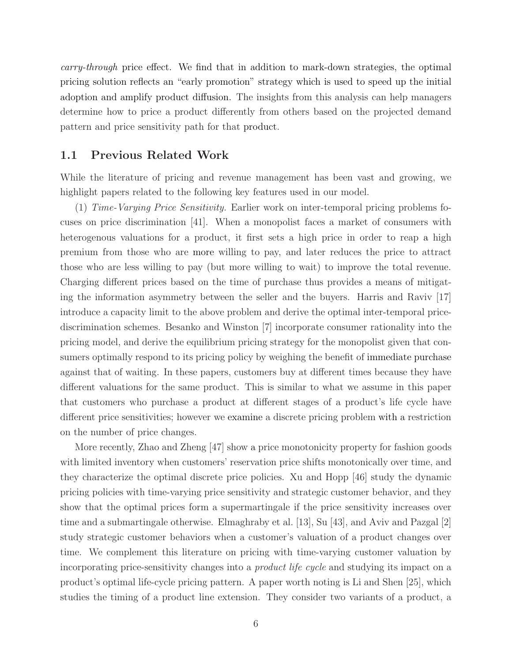*carry-through* price effect. We find that in addition to mark-down strategies, the optimal pricing solution reflects an "early promotion" strategy which is used to speed up the initial adoption and amplify product diffusion. The insights from this analysis can help managers determine how to price a product differently from others based on the projected demand pattern and price sensitivity path for that product.

#### 1.1 Previous Related Work

While the literature of pricing and revenue management has been vast and growing, we highlight papers related to the following key features used in our model.

(1) *Time-Varying Price Sensitivity.* Earlier work on inter-temporal pricing problems focuses on price discrimination [41]. When a monopolist faces a market of consumers with heterogenous valuations for a product, it first sets a high price in order to reap a high premium from those who are more willing to pay, and later reduces the price to attract those who are less willing to pay (but more willing to wait) to improve the total revenue. Charging different prices based on the time of purchase thus provides a means of mitigating the information asymmetry between the seller and the buyers. Harris and Raviv [17] introduce a capacity limit to the above problem and derive the optimal inter-temporal pricediscrimination schemes. Besanko and Winston [7] incorporate consumer rationality into the pricing model, and derive the equilibrium pricing strategy for the monopolist given that consumers optimally respond to its pricing policy by weighing the benefit of immediate purchase against that of waiting. In these papers, customers buy at different times because they have different valuations for the same product. This is similar to what we assume in this paper that customers who purchase a product at different stages of a product's life cycle have different price sensitivities; however we examine a discrete pricing problem with a restriction on the number of price changes.

More recently, Zhao and Zheng [47] show a price monotonicity property for fashion goods with limited inventory when customers' reservation price shifts monotonically over time, and they characterize the optimal discrete price policies. Xu and Hopp [46] study the dynamic pricing policies with time-varying price sensitivity and strategic customer behavior, and they show that the optimal prices form a supermartingale if the price sensitivity increases over time and a submartingale otherwise. Elmaghraby et al. [13], Su [43], and Aviv and Pazgal [2] study strategic customer behaviors when a customer's valuation of a product changes over time. We complement this literature on pricing with time-varying customer valuation by incorporating price-sensitivity changes into a *product life cycle* and studying its impact on a product's optimal life-cycle pricing pattern. A paper worth noting is Li and Shen [25], which studies the timing of a product line extension. They consider two variants of a product, a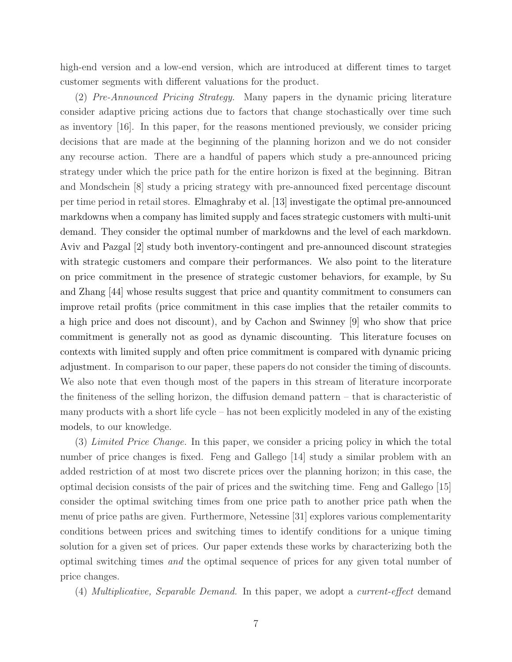high-end version and a low-end version, which are introduced at different times to target customer segments with different valuations for the product.

(2) *Pre-Announced Pricing Strategy.* Many papers in the dynamic pricing literature consider adaptive pricing actions due to factors that change stochastically over time such as inventory [16]. In this paper, for the reasons mentioned previously, we consider pricing decisions that are made at the beginning of the planning horizon and we do not consider any recourse action. There are a handful of papers which study a pre-announced pricing strategy under which the price path for the entire horizon is fixed at the beginning. Bitran and Mondschein [8] study a pricing strategy with pre-announced fixed percentage discount per time period in retail stores. Elmaghraby et al. [13] investigate the optimal pre-announced markdowns when a company has limited supply and faces strategic customers with multi-unit demand. They consider the optimal number of markdowns and the level of each markdown. Aviv and Pazgal [2] study both inventory-contingent and pre-announced discount strategies with strategic customers and compare their performances. We also point to the literature on price commitment in the presence of strategic customer behaviors, for example, by Su and Zhang [44] whose results suggest that price and quantity commitment to consumers can improve retail profits (price commitment in this case implies that the retailer commits to a high price and does not discount), and by Cachon and Swinney [9] who show that price commitment is generally not as good as dynamic discounting. This literature focuses on contexts with limited supply and often price commitment is compared with dynamic pricing adjustment. In comparison to our paper, these papers do not consider the timing of discounts. We also note that even though most of the papers in this stream of literature incorporate the finiteness of the selling horizon, the diffusion demand pattern – that is characteristic of many products with a short life cycle – has not been explicitly modeled in any of the existing models, to our knowledge.

(3) *Limited Price Change.* In this paper, we consider a pricing policy in which the total number of price changes is fixed. Feng and Gallego [14] study a similar problem with an added restriction of at most two discrete prices over the planning horizon; in this case, the optimal decision consists of the pair of prices and the switching time. Feng and Gallego [15] consider the optimal switching times from one price path to another price path when the menu of price paths are given. Furthermore, Netessine [31] explores various complementarity conditions between prices and switching times to identify conditions for a unique timing solution for a given set of prices. Our paper extends these works by characterizing both the optimal switching times *and* the optimal sequence of prices for any given total number of price changes.

(4) *Multiplicative, Separable Demand.* In this paper, we adopt a *current-effect* demand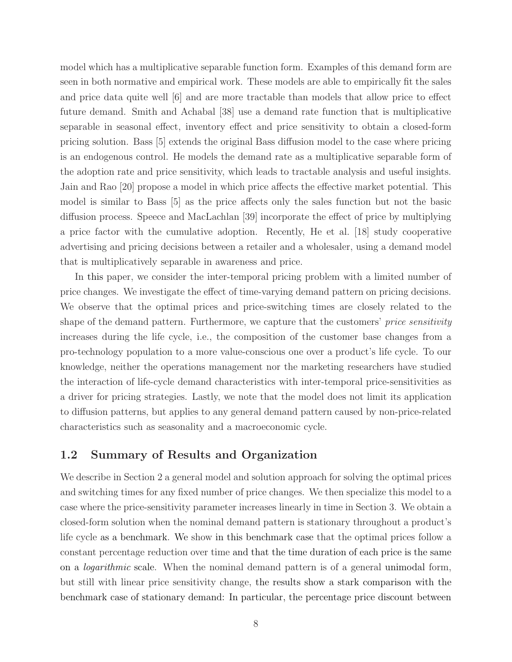model which has a multiplicative separable function form. Examples of this demand form are seen in both normative and empirical work. These models are able to empirically fit the sales and price data quite well [6] and are more tractable than models that allow price to effect future demand. Smith and Achabal [38] use a demand rate function that is multiplicative separable in seasonal effect, inventory effect and price sensitivity to obtain a closed-form pricing solution. Bass [5] extends the original Bass diffusion model to the case where pricing is an endogenous control. He models the demand rate as a multiplicative separable form of the adoption rate and price sensitivity, which leads to tractable analysis and useful insights. Jain and Rao [20] propose a model in which price affects the effective market potential. This model is similar to Bass [5] as the price affects only the sales function but not the basic diffusion process. Speece and MacLachlan [39] incorporate the effect of price by multiplying a price factor with the cumulative adoption. Recently, He et al. [18] study cooperative advertising and pricing decisions between a retailer and a wholesaler, using a demand model that is multiplicatively separable in awareness and price.

In this paper, we consider the inter-temporal pricing problem with a limited number of price changes. We investigate the effect of time-varying demand pattern on pricing decisions. We observe that the optimal prices and price-switching times are closely related to the shape of the demand pattern. Furthermore, we capture that the customers' *price sensitivity* increases during the life cycle, i.e., the composition of the customer base changes from a pro-technology population to a more value-conscious one over a product's life cycle. To our knowledge, neither the operations management nor the marketing researchers have studied the interaction of life-cycle demand characteristics with inter-temporal price-sensitivities as a driver for pricing strategies. Lastly, we note that the model does not limit its application to diffusion patterns, but applies to any general demand pattern caused by non-price-related characteristics such as seasonality and a macroeconomic cycle.

#### 1.2 Summary of Results and Organization

We describe in Section 2 a general model and solution approach for solving the optimal prices and switching times for any fixed number of price changes. We then specialize this model to a case where the price-sensitivity parameter increases linearly in time in Section 3. We obtain a closed-form solution when the nominal demand pattern is stationary throughout a product's life cycle as a benchmark. We show in this benchmark case that the optimal prices follow a constant percentage reduction over time and that the time duration of each price is the same on a *logarithmic* scale. When the nominal demand pattern is of a general unimodal form, but still with linear price sensitivity change, the results show a stark comparison with the benchmark case of stationary demand: In particular, the percentage price discount between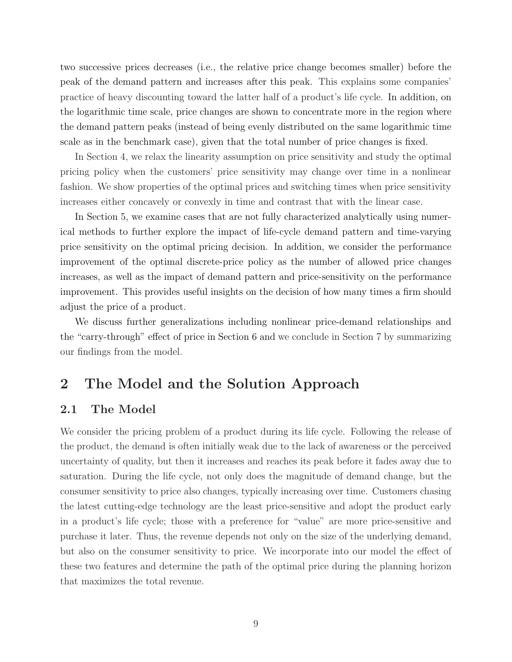two successive prices decreases (i.e., the relative price change becomes smaller) before the peak of the demand pattern and increases after this peak. This explains some companies' practice of heavy discounting toward the latter half of a product's life cycle. In addition, on the logarithmic time scale, price changes are shown to concentrate more in the region where the demand pattern peaks (instead of being evenly distributed on the same logarithmic time scale as in the benchmark case), given that the total number of price changes is fixed.

In Section 4, we relax the linearity assumption on price sensitivity and study the optimal pricing policy when the customers' price sensitivity may change over time in a nonlinear fashion. We show properties of the optimal prices and switching times when price sensitivity increases either concavely or convexly in time and contrast that with the linear case.

In Section 5, we examine cases that are not fully characterized analytically using numerical methods to further explore the impact of life-cycle demand pattern and time-varying price sensitivity on the optimal pricing decision. In addition, we consider the performance improvement of the optimal discrete-price policy as the number of allowed price changes increases, as well as the impact of demand pattern and price-sensitivity on the performance improvement. This provides useful insights on the decision of how many times a firm should adjust the price of a product.

We discuss further generalizations including nonlinear price-demand relationships and the "carry-through" effect of price in Section 6 and we conclude in Section 7 by summarizing our findings from the model.

### 2 The Model and the Solution Approach

### 2.1 The Model

We consider the pricing problem of a product during its life cycle. Following the release of the product, the demand is often initially weak due to the lack of awareness or the perceived uncertainty of quality, but then it increases and reaches its peak before it fades away due to saturation. During the life cycle, not only does the magnitude of demand change, but the consumer sensitivity to price also changes, typically increasing over time. Customers chasing the latest cutting-edge technology are the least price-sensitive and adopt the product early in a product's life cycle; those with a preference for "value" are more price-sensitive and purchase it later. Thus, the revenue depends not only on the size of the underlying demand, but also on the consumer sensitivity to price. We incorporate into our model the effect of these two features and determine the path of the optimal price during the planning horizon that maximizes the total revenue.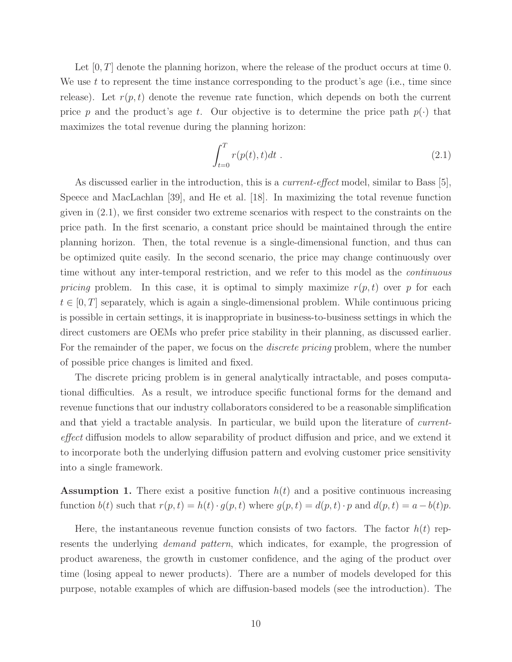Let  $[0, T]$  denote the planning horizon, where the release of the product occurs at time 0. We use  $t$  to represent the time instance corresponding to the product's age (i.e., time since release). Let  $r(p, t)$  denote the revenue rate function, which depends on both the current price p and the product's age t. Our objective is to determine the price path  $p(\cdot)$  that maximizes the total revenue during the planning horizon:

$$
\int_{t=0}^{T} r(p(t), t)dt .
$$
 (2.1)

As discussed earlier in the introduction, this is a *current-effect* model, similar to Bass [5], Speece and MacLachlan [39], and He et al. [18]. In maximizing the total revenue function given in (2.1), we first consider two extreme scenarios with respect to the constraints on the price path. In the first scenario, a constant price should be maintained through the entire planning horizon. Then, the total revenue is a single-dimensional function, and thus can be optimized quite easily. In the second scenario, the price may change continuously over time without any inter-temporal restriction, and we refer to this model as the *continuous pricing* problem. In this case, it is optimal to simply maximize  $r(p, t)$  over p for each  $t \in [0, T]$  separately, which is again a single-dimensional problem. While continuous pricing is possible in certain settings, it is inappropriate in business-to-business settings in which the direct customers are OEMs who prefer price stability in their planning, as discussed earlier. For the remainder of the paper, we focus on the *discrete pricing* problem, where the number of possible price changes is limited and fixed.

The discrete pricing problem is in general analytically intractable, and poses computational difficulties. As a result, we introduce specific functional forms for the demand and revenue functions that our industry collaborators considered to be a reasonable simplification and that yield a tractable analysis. In particular, we build upon the literature of *currenteffect* diffusion models to allow separability of product diffusion and price, and we extend it to incorporate both the underlying diffusion pattern and evolving customer price sensitivity into a single framework.

**Assumption 1.** There exist a positive function  $h(t)$  and a positive continuous increasing function  $b(t)$  such that  $r(p, t) = h(t) \cdot g(p, t)$  where  $g(p, t) = d(p, t) \cdot p$  and  $d(p, t) = a - b(t)p$ .

Here, the instantaneous revenue function consists of two factors. The factor  $h(t)$  represents the underlying *demand pattern*, which indicates, for example, the progression of product awareness, the growth in customer confidence, and the aging of the product over time (losing appeal to newer products). There are a number of models developed for this purpose, notable examples of which are diffusion-based models (see the introduction). The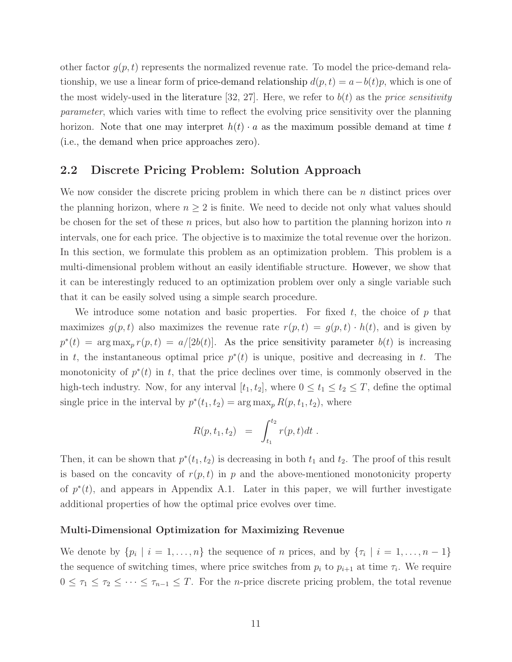other factor  $g(p, t)$  represents the normalized revenue rate. To model the price-demand relationship, we use a linear form of price-demand relationship  $d(p, t) = a - b(t)p$ , which is one of the most widely-used in the literature  $[32, 27]$ . Here, we refer to  $b(t)$  as the *price sensitivity parameter*, which varies with time to reflect the evolving price sensitivity over the planning horizon. Note that one may interpret  $h(t) \cdot a$  as the maximum possible demand at time t (i.e., the demand when price approaches zero).

#### 2.2 Discrete Pricing Problem: Solution Approach

We now consider the discrete pricing problem in which there can be *n* distinct prices over the planning horizon, where  $n \geq 2$  is finite. We need to decide not only what values should be chosen for the set of these n prices, but also how to partition the planning horizon into  $n$ intervals, one for each price. The objective is to maximize the total revenue over the horizon. In this section, we formulate this problem as an optimization problem. This problem is a multi-dimensional problem without an easily identifiable structure. However, we show that it can be interestingly reduced to an optimization problem over only a single variable such that it can be easily solved using a simple search procedure.

We introduce some notation and basic properties. For fixed  $t$ , the choice of  $p$  that maximizes  $g(p, t)$  also maximizes the revenue rate  $r(p, t) = g(p, t) \cdot h(t)$ , and is given by  $p^*(t) = \arg \max_p r(p, t) = a/[2b(t)].$  As the price sensitivity parameter  $b(t)$  is increasing in t, the instantaneous optimal price  $p^*(t)$  is unique, positive and decreasing in t. The monotonicity of  $p^*(t)$  in t, that the price declines over time, is commonly observed in the high-tech industry. Now, for any interval  $[t_1, t_2]$ , where  $0 \le t_1 \le t_2 \le T$ , define the optimal single price in the interval by  $p^*(t_1, t_2) = \arg \max_p R(p, t_1, t_2)$ , where

$$
R(p, t_1, t_2) = \int_{t_1}^{t_2} r(p, t) dt.
$$

Then, it can be shown that  $p^*(t_1, t_2)$  is decreasing in both  $t_1$  and  $t_2$ . The proof of this result is based on the concavity of  $r(p, t)$  in p and the above-mentioned monotonicity property of  $p^*(t)$ , and appears in Appendix A.1. Later in this paper, we will further investigate additional properties of how the optimal price evolves over time.

#### Multi-Dimensional Optimization for Maximizing Revenue

We denote by  $\{p_i \mid i = 1, \ldots, n\}$  the sequence of *n* prices, and by  $\{\tau_i \mid i = 1, \ldots, n-1\}$ the sequence of switching times, where price switches from  $p_i$  to  $p_{i+1}$  at time  $\tau_i$ . We require  $0 \leq \tau_1 \leq \tau_2 \leq \cdots \leq \tau_{n-1} \leq T$ . For the *n*-price discrete pricing problem, the total revenue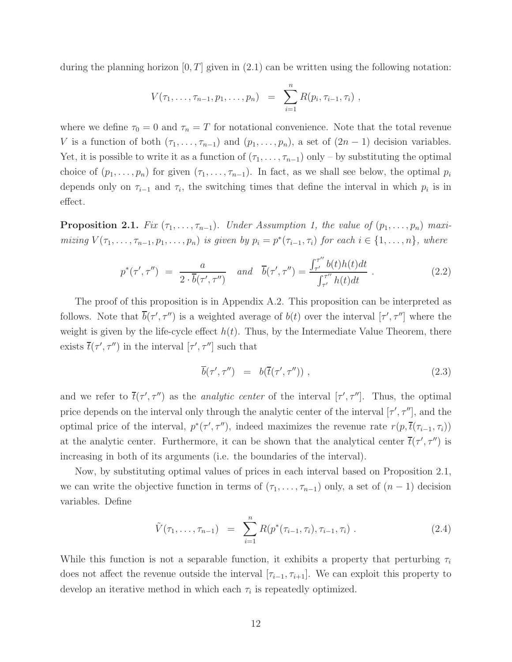during the planning horizon  $[0, T]$  given in  $(2.1)$  can be written using the following notation:

$$
V(\tau_1,\ldots,\tau_{n-1},p_1,\ldots,p_n) = \sum_{i=1}^n R(p_i,\tau_{i-1},\tau_i) ,
$$

where we define  $\tau_0 = 0$  and  $\tau_n = T$  for notational convenience. Note that the total revenue V is a function of both  $(\tau_1, \ldots, \tau_{n-1})$  and  $(p_1, \ldots, p_n)$ , a set of  $(2n-1)$  decision variables. Yet, it is possible to write it as a function of  $(\tau_1, \ldots, \tau_{n-1})$  only – by substituting the optimal choice of  $(p_1, \ldots, p_n)$  for given  $(\tau_1, \ldots, \tau_{n-1})$ . In fact, as we shall see below, the optimal  $p_i$ depends only on  $\tau_{i-1}$  and  $\tau_i$ , the switching times that define the interval in which  $p_i$  is in effect.

**Proposition 2.1.** *Fix*  $(\tau_1, \ldots, \tau_{n-1})$ *. Under Assumption 1, the value of*  $(p_1, \ldots, p_n)$  *maxi* $mizing V(\tau_1,\ldots,\tau_{n-1},p_1,\ldots,p_n)$  *is given by*  $p_i = p^*(\tau_{i-1},\tau_i)$  *for each*  $i \in \{1,\ldots,n\}$ *, where* 

$$
p^*(\tau', \tau'') = \frac{a}{2 \cdot \overline{b}(\tau', \tau'')} \quad \text{and} \quad \overline{b}(\tau', \tau'') = \frac{\int_{\tau'}^{\tau''} b(t)h(t)dt}{\int_{\tau'}^{\tau''} h(t)dt} \ . \tag{2.2}
$$

The proof of this proposition is in Appendix A.2. This proposition can be interpreted as follows. Note that  $b(\tau', \tau'')$  is a weighted average of  $b(t)$  over the interval  $[\tau', \tau'']$  where the weight is given by the life-cycle effect  $h(t)$ . Thus, by the Intermediate Value Theorem, there exists  $\bar{t}(\tau', \tau'')$  in the interval  $[\tau', \tau'']$  such that

$$
\overline{b}(\tau', \tau'') = b(\overline{t}(\tau', \tau'')) , \qquad (2.3)
$$

and we refer to  $\bar{t}(\tau', \tau'')$  as the *analytic center* of the interval  $[\tau', \tau'']$ . Thus, the optimal price depends on the interval only through the analytic center of the interval  $[\tau', \tau'']$ , and the optimal price of the interval,  $p^*(\tau', \tau'')$ , indeed maximizes the revenue rate  $r(p, \overline{t}(\tau_{i-1}, \tau_i))$ at the analytic center. Furthermore, it can be shown that the analytical center  $\bar{t}(\tau',\tau'')$  is increasing in both of its arguments (i.e. the boundaries of the interval).

Now, by substituting optimal values of prices in each interval based on Proposition 2.1, we can write the objective function in terms of  $(\tau_1, \ldots, \tau_{n-1})$  only, a set of  $(n-1)$  decision variables. Define

$$
\tilde{V}(\tau_1, \ldots, \tau_{n-1}) = \sum_{i=1}^n R(p^*(\tau_{i-1}, \tau_i), \tau_{i-1}, \tau_i).
$$
\n(2.4)

While this function is not a separable function, it exhibits a property that perturbing  $\tau_i$ does not affect the revenue outside the interval  $[\tau_{i-1}, \tau_{i+1}]$ . We can exploit this property to develop an iterative method in which each  $\tau_i$  is repeatedly optimized.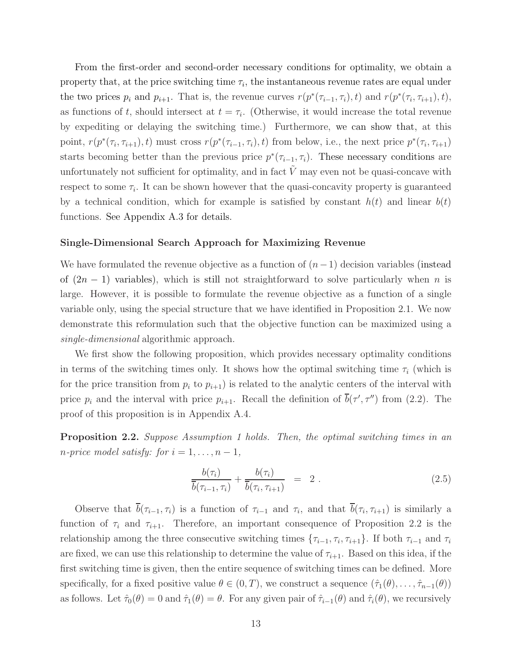From the first-order and second-order necessary conditions for optimality, we obtain a property that, at the price switching time  $\tau_i$ , the instantaneous revenue rates are equal under the two prices  $p_i$  and  $p_{i+1}$ . That is, the revenue curves  $r(p^*(\tau_{i-1}, \tau_i), t)$  and  $r(p^*(\tau_i, \tau_{i+1}), t)$ , as functions of t, should intersect at  $t = \tau_i$ . (Otherwise, it would increase the total revenue by expediting or delaying the switching time.) Furthermore, we can show that, at this point,  $r(p^*(\tau_i, \tau_{i+1}), t)$  must cross  $r(p^*(\tau_{i-1}, \tau_i), t)$  from below, i.e., the next price  $p^*(\tau_i, \tau_{i+1})$ starts becoming better than the previous price  $p^*(\tau_{i-1}, \tau_i)$ . These necessary conditions are unfortunately not sufficient for optimality, and in fact  $\tilde{V}$  may even not be quasi-concave with respect to some  $\tau_i$ . It can be shown however that the quasi-concavity property is guaranteed by a technical condition, which for example is satisfied by constant  $h(t)$  and linear  $b(t)$ functions. See Appendix A.3 for details.

#### Single-Dimensional Search Approach for Maximizing Revenue

We have formulated the revenue objective as a function of  $(n-1)$  decision variables (instead of  $(2n-1)$  variables), which is still not straightforward to solve particularly when n is large. However, it is possible to formulate the revenue objective as a function of a single variable only, using the special structure that we have identified in Proposition 2.1. We now demonstrate this reformulation such that the objective function can be maximized using a *single-dimensional* algorithmic approach.

We first show the following proposition, which provides necessary optimality conditions in terms of the switching times only. It shows how the optimal switching time  $\tau_i$  (which is for the price transition from  $p_i$  to  $p_{i+1}$ ) is related to the analytic centers of the interval with price  $p_i$  and the interval with price  $p_{i+1}$ . Recall the definition of  $b(\tau', \tau'')$  from (2.2). The proof of this proposition is in Appendix A.4.

Proposition 2.2. *Suppose Assumption 1 holds. Then, the optimal switching times in an*  $n\text{-}price \ model \ satisfy: for \ i=1,\ldots,n-1,$ 

$$
\frac{b(\tau_i)}{\overline{b}(\tau_{i-1}, \tau_i)} + \frac{b(\tau_i)}{\overline{b}(\tau_i, \tau_{i+1})} = 2.
$$
\n(2.5)

Observe that  $b(\tau_{i-1}, \tau_i)$  is a function of  $\tau_{i-1}$  and  $\tau_i$ , and that  $b(\tau_i, \tau_{i+1})$  is similarly a function of  $\tau_i$  and  $\tau_{i+1}$ . Therefore, an important consequence of Proposition 2.2 is the relationship among the three consecutive switching times  $\{\tau_{i-1}, \tau_i, \tau_{i+1}\}\$ . If both  $\tau_{i-1}$  and  $\tau_i$ are fixed, we can use this relationship to determine the value of  $\tau_{i+1}$ . Based on this idea, if the first switching time is given, then the entire sequence of switching times can be defined. More specifically, for a fixed positive value  $\theta \in (0, T)$ , we construct a sequence  $(\hat{\tau}_1(\theta), \dots, \hat{\tau}_{n-1}(\theta))$ as follows. Let  $\hat{\tau}_0(\theta) = 0$  and  $\hat{\tau}_1(\theta) = \theta$ . For any given pair of  $\hat{\tau}_{i-1}(\theta)$  and  $\hat{\tau}_i(\theta)$ , we recursively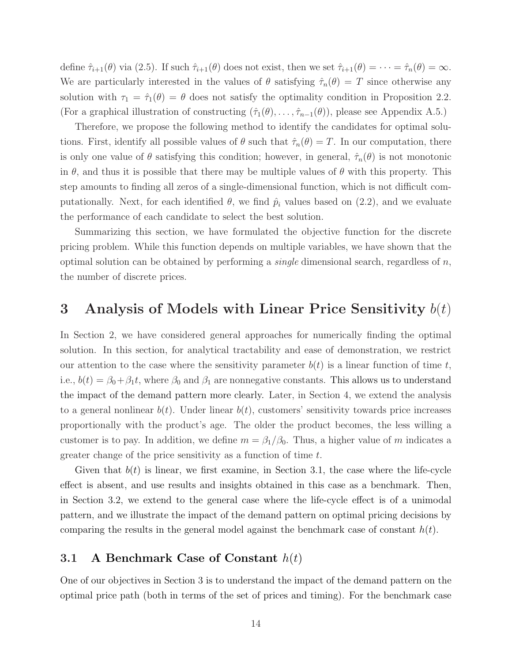define  $\hat{\tau}_{i+1}(\theta)$  via (2.5). If such  $\hat{\tau}_{i+1}(\theta)$  does not exist, then we set  $\hat{\tau}_{i+1}(\theta) = \cdots = \hat{\tau}_n(\theta) = \infty$ . We are particularly interested in the values of  $\theta$  satisfying  $\hat{\tau}_n(\theta) = T$  since otherwise any solution with  $\tau_1 = \hat{\tau}_1(\theta) = \theta$  does not satisfy the optimality condition in Proposition 2.2. (For a graphical illustration of constructing  $(\hat{\tau}_1(\theta), \ldots, \hat{\tau}_{n-1}(\theta))$ , please see Appendix A.5.)

Therefore, we propose the following method to identify the candidates for optimal solutions. First, identify all possible values of  $\theta$  such that  $\hat{\tau}_n(\theta) = T$ . In our computation, there is only one value of  $\theta$  satisfying this condition; however, in general,  $\hat{\tau}_n(\theta)$  is not monotonic in  $\theta$ , and thus it is possible that there may be multiple values of  $\theta$  with this property. This step amounts to finding all zeros of a single-dimensional function, which is not difficult computationally. Next, for each identified  $\theta$ , we find  $\hat{p}_i$  values based on (2.2), and we evaluate the performance of each candidate to select the best solution.

Summarizing this section, we have formulated the objective function for the discrete pricing problem. While this function depends on multiple variables, we have shown that the optimal solution can be obtained by performing a *single* dimensional search, regardless of n, the number of discrete prices.

### 3 Analysis of Models with Linear Price Sensitivity  $b(t)$

In Section 2, we have considered general approaches for numerically finding the optimal solution. In this section, for analytical tractability and ease of demonstration, we restrict our attention to the case where the sensitivity parameter  $b(t)$  is a linear function of time t, i.e.,  $b(t) = \beta_0 + \beta_1 t$ , where  $\beta_0$  and  $\beta_1$  are nonnegative constants. This allows us to understand the impact of the demand pattern more clearly. Later, in Section 4, we extend the analysis to a general nonlinear  $b(t)$ . Under linear  $b(t)$ , customers' sensitivity towards price increases proportionally with the product's age. The older the product becomes, the less willing a customer is to pay. In addition, we define  $m = \beta_1/\beta_0$ . Thus, a higher value of m indicates a greater change of the price sensitivity as a function of time t.

Given that  $b(t)$  is linear, we first examine, in Section 3.1, the case where the life-cycle effect is absent, and use results and insights obtained in this case as a benchmark. Then, in Section 3.2, we extend to the general case where the life-cycle effect is of a unimodal pattern, and we illustrate the impact of the demand pattern on optimal pricing decisions by comparing the results in the general model against the benchmark case of constant  $h(t)$ .

### 3.1 A Benchmark Case of Constant  $h(t)$

One of our objectives in Section 3 is to understand the impact of the demand pattern on the optimal price path (both in terms of the set of prices and timing). For the benchmark case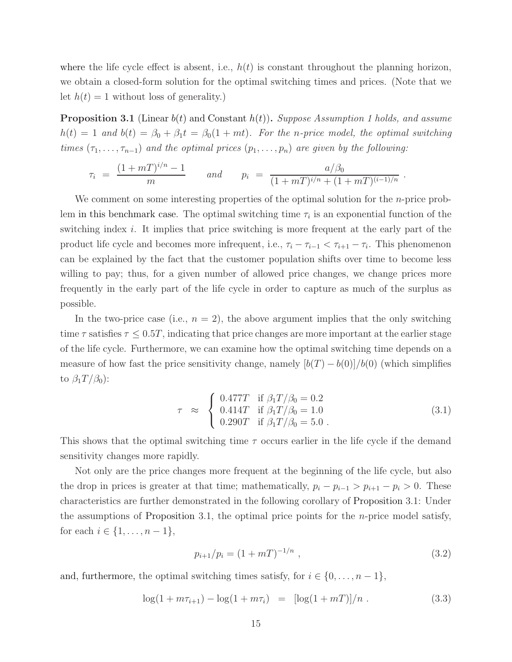where the life cycle effect is absent, i.e.,  $h(t)$  is constant throughout the planning horizon, we obtain a closed-form solution for the optimal switching times and prices. (Note that we let  $h(t) = 1$  without loss of generality.)

Proposition 3.1 (Linear b(t) and Constant h(t)). *Suppose Assumption 1 holds, and assume*  $h(t) = 1$  and  $b(t) = \beta_0 + \beta_1 t = \beta_0(1 + mt)$ *. For the n-price model, the optimal switching times*  $(\tau_1, \ldots, \tau_{n-1})$  *and the optimal prices*  $(p_1, \ldots, p_n)$  *are given by the following:* 

$$
\tau_i = \frac{(1+mT)^{i/n}-1}{m} \quad \text{and} \quad p_i = \frac{a/\beta_0}{(1+mT)^{i/n}+(1+mT)^{(i-1)/n}}.
$$

We comment on some interesting properties of the optimal solution for the *n*-price problem in this benchmark case. The optimal switching time  $\tau_i$  is an exponential function of the switching index i. It implies that price switching is more frequent at the early part of the product life cycle and becomes more infrequent, i.e.,  $\tau_i - \tau_{i-1} < \tau_{i+1} - \tau_i$ . This phenomenon can be explained by the fact that the customer population shifts over time to become less willing to pay; thus, for a given number of allowed price changes, we change prices more frequently in the early part of the life cycle in order to capture as much of the surplus as possible.

In the two-price case (i.e.,  $n = 2$ ), the above argument implies that the only switching time  $\tau$  satisfies  $\tau \leq 0.5T$ , indicating that price changes are more important at the earlier stage of the life cycle. Furthermore, we can examine how the optimal switching time depends on a measure of how fast the price sensitivity change, namely  $[b(T) - b(0)]/b(0)$  (which simplifies to  $\beta_1 T / \beta_0$ :

$$
\tau \approx \begin{cases} 0.477T & \text{if } \beta_1 T/\beta_0 = 0.2 \\ 0.414T & \text{if } \beta_1 T/\beta_0 = 1.0 \\ 0.290T & \text{if } \beta_1 T/\beta_0 = 5.0 \end{cases}
$$
 (3.1)

This shows that the optimal switching time  $\tau$  occurs earlier in the life cycle if the demand sensitivity changes more rapidly.

Not only are the price changes more frequent at the beginning of the life cycle, but also the drop in prices is greater at that time; mathematically,  $p_i - p_{i-1} > p_{i+1} - p_i > 0$ . These characteristics are further demonstrated in the following corollary of Proposition 3.1: Under the assumptions of Proposition 3.1, the optimal price points for the *n*-price model satisfy, for each  $i \in \{1, ..., n-1\},\$ 

$$
p_{i+1}/p_i = (1 + mT)^{-1/n}, \qquad (3.2)
$$

and, furthermore, the optimal switching times satisfy, for  $i \in \{0, \ldots, n-1\}$ ,

$$
\log(1 + m\tau_{i+1}) - \log(1 + m\tau_i) = [\log(1 + mT)]/n. \tag{3.3}
$$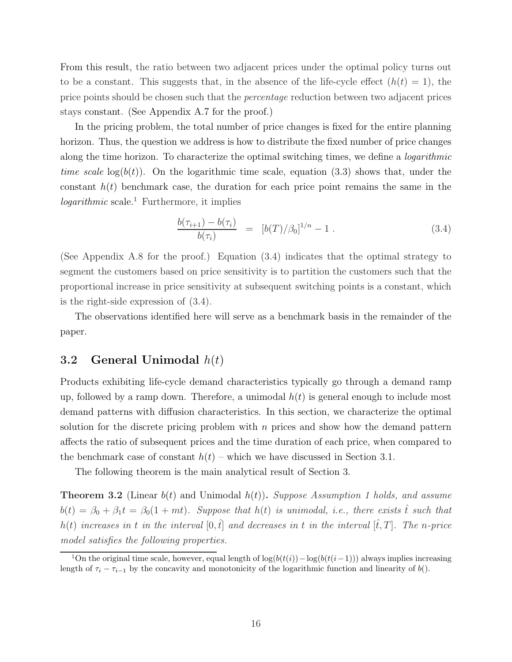From this result, the ratio between two adjacent prices under the optimal policy turns out to be a constant. This suggests that, in the absence of the life-cycle effect  $(h(t) = 1)$ , the price points should be chosen such that the *percentage* reduction between two adjacent prices stays constant. (See Appendix A.7 for the proof.)

In the pricing problem, the total number of price changes is fixed for the entire planning horizon. Thus, the question we address is how to distribute the fixed number of price changes along the time horizon. To characterize the optimal switching times, we define a *logarithmic time scale*  $log(b(t))$ . On the logarithmic time scale, equation (3.3) shows that, under the constant  $h(t)$  benchmark case, the duration for each price point remains the same in the *logarithmic* scale.<sup>1</sup> Furthermore, it implies

$$
\frac{b(\tau_{i+1}) - b(\tau_i)}{b(\tau_i)} = [b(T)/\beta_0]^{1/n} - 1.
$$
\n(3.4)

(See Appendix A.8 for the proof.) Equation (3.4) indicates that the optimal strategy to segment the customers based on price sensitivity is to partition the customers such that the proportional increase in price sensitivity at subsequent switching points is a constant, which is the right-side expression of (3.4).

The observations identified here will serve as a benchmark basis in the remainder of the paper.

#### 3.2 General Unimodal  $h(t)$

Products exhibiting life-cycle demand characteristics typically go through a demand ramp up, followed by a ramp down. Therefore, a unimodal  $h(t)$  is general enough to include most demand patterns with diffusion characteristics. In this section, we characterize the optimal solution for the discrete pricing problem with  $n$  prices and show how the demand pattern affects the ratio of subsequent prices and the time duration of each price, when compared to the benchmark case of constant  $h(t)$  – which we have discussed in Section 3.1.

The following theorem is the main analytical result of Section 3.

Theorem 3.2 (Linear b(t) and Unimodal h(t)). *Suppose Assumption 1 holds, and assume*  $b(t) = \beta_0 + \beta_1 t = \beta_0(1 + mt)$ *. Suppose that*  $h(t)$  *is unimodal, i.e., there exists*  $\hat{t}$  *such that*  $h(t)$  *increases in* t *in the interval*  $[0, \hat{t}]$  *and decreases in* t *in the interval*  $[\hat{t}, T]$ *. The n-price model satisfies the following properties.*

<sup>&</sup>lt;sup>1</sup>On the original time scale, however, equal length of  $log(b(t(i))-log(b(t(i-1)))$  always implies increasing length of  $\tau_i - \tau_{i-1}$  by the concavity and monotonicity of the logarithmic function and linearity of  $b()$ .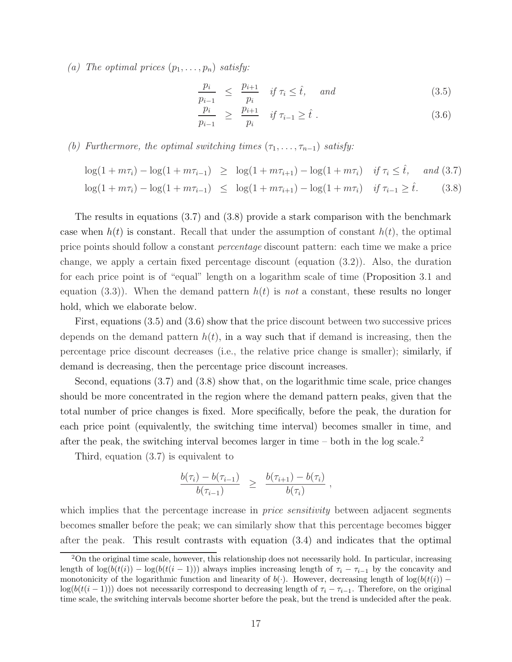*(a)* The optimal prices  $(p_1, \ldots, p_n)$  satisfy:

$$
\frac{p_i}{p_{i-1}} \le \frac{p_{i+1}}{p_i} \quad \text{if } \tau_i \le \hat{t}, \quad \text{and} \tag{3.5}
$$

$$
\frac{p_i}{p_{i-1}} \ge \frac{p_{i+1}}{p_i} \quad \text{if } \tau_{i-1} \ge \hat{t} \ . \tag{3.6}
$$

*(b) Furthermore, the optimal switching times*  $(\tau_1, \ldots, \tau_{n-1})$  *satisfy:* 

$$
\log(1 + m\tau_i) - \log(1 + m\tau_{i-1}) \ge \log(1 + m\tau_{i+1}) - \log(1 + m\tau_i) \quad \text{if } \tau_i \le \hat{t}, \quad \text{and } (3.7)
$$

$$
\log(1 + m\tau_i) - \log(1 + m\tau_{i-1}) \le \log(1 + m\tau_{i+1}) - \log(1 + m\tau_i) \quad \text{if } \tau_{i-1} \ge \hat{t}.\tag{3.8}
$$

The results in equations (3.7) and (3.8) provide a stark comparison with the benchmark case when  $h(t)$  is constant. Recall that under the assumption of constant  $h(t)$ , the optimal price points should follow a constant *percentage* discount pattern: each time we make a price change, we apply a certain fixed percentage discount (equation (3.2)). Also, the duration for each price point is of "equal" length on a logarithm scale of time (Proposition 3.1 and equation  $(3.3)$ . When the demand pattern  $h(t)$  is *not* a constant, these results no longer hold, which we elaborate below.

First, equations (3.5) and (3.6) show that the price discount between two successive prices depends on the demand pattern  $h(t)$ , in a way such that if demand is increasing, then the percentage price discount decreases (i.e., the relative price change is smaller); similarly, if demand is decreasing, then the percentage price discount increases.

Second, equations (3.7) and (3.8) show that, on the logarithmic time scale, price changes should be more concentrated in the region where the demand pattern peaks, given that the total number of price changes is fixed. More specifically, before the peak, the duration for each price point (equivalently, the switching time interval) becomes smaller in time, and after the peak, the switching interval becomes larger in time – both in the  $log scale$ .<sup>2</sup>

Third, equation (3.7) is equivalent to

$$
\frac{b(\tau_i) - b(\tau_{i-1})}{b(\tau_{i-1})} \geq \frac{b(\tau_{i+1}) - b(\tau_i)}{b(\tau_i)},
$$

which implies that the percentage increase in *price sensitivity* between adjacent segments becomes smaller before the peak; we can similarly show that this percentage becomes bigger after the peak. This result contrasts with equation (3.4) and indicates that the optimal

<sup>&</sup>lt;sup>2</sup>On the original time scale, however, this relationship does not necessarily hold. In particular, increasing length of  $\log(b(t(i)) - \log(b(t(i-1)))$  always implies increasing length of  $\tau_i - \tau_{i-1}$  by the concavity and monotonicity of the logarithmic function and linearity of  $b(\cdot)$ . However, decreasing length of log( $b(t(i))$  –  $log(b(t(i-1)))$  does not necessarily correspond to decreasing length of  $\tau_i - \tau_{i-1}$ . Therefore, on the original time scale, the switching intervals become shorter before the peak, but the trend is undecided after the peak.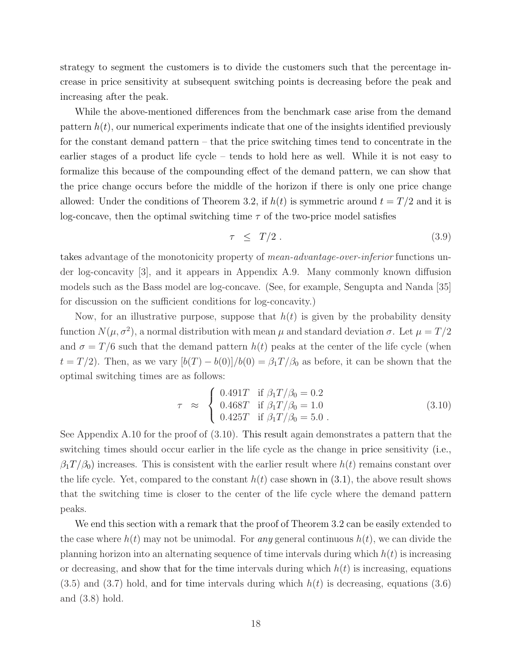strategy to segment the customers is to divide the customers such that the percentage increase in price sensitivity at subsequent switching points is decreasing before the peak and increasing after the peak.

While the above-mentioned differences from the benchmark case arise from the demand pattern  $h(t)$ , our numerical experiments indicate that one of the insights identified previously for the constant demand pattern – that the price switching times tend to concentrate in the earlier stages of a product life cycle – tends to hold here as well. While it is not easy to formalize this because of the compounding effect of the demand pattern, we can show that the price change occurs before the middle of the horizon if there is only one price change allowed: Under the conditions of Theorem 3.2, if  $h(t)$  is symmetric around  $t = T/2$  and it is log-concave, then the optimal switching time  $\tau$  of the two-price model satisfies

$$
\tau \leq T/2. \tag{3.9}
$$

takes advantage of the monotonicity property of *mean-advantage-over-inferior* functions under log-concavity [3], and it appears in Appendix A.9. Many commonly known diffusion models such as the Bass model are log-concave. (See, for example, Sengupta and Nanda [35] for discussion on the sufficient conditions for log-concavity.)

Now, for an illustrative purpose, suppose that  $h(t)$  is given by the probability density function  $N(\mu, \sigma^2)$ , a normal distribution with mean  $\mu$  and standard deviation  $\sigma$ . Let  $\mu = T/2$ and  $\sigma = T/6$  such that the demand pattern  $h(t)$  peaks at the center of the life cycle (when  $t = T/2$ ). Then, as we vary  $[b(T) - b(0)]/b(0) = \beta_1 T/\beta_0$  as before, it can be shown that the optimal switching times are as follows:

$$
\tau \approx \begin{cases} 0.491T & \text{if } \beta_1 T/\beta_0 = 0.2 \\ 0.468T & \text{if } \beta_1 T/\beta_0 = 1.0 \\ 0.425T & \text{if } \beta_1 T/\beta_0 = 5.0 \end{cases}
$$
 (3.10)

See Appendix A.10 for the proof of (3.10). This result again demonstrates a pattern that the switching times should occur earlier in the life cycle as the change in price sensitivity (i.e.,  $\beta_1T/\beta_0$ ) increases. This is consistent with the earlier result where  $h(t)$  remains constant over the life cycle. Yet, compared to the constant  $h(t)$  case shown in (3.1), the above result shows that the switching time is closer to the center of the life cycle where the demand pattern peaks.

We end this section with a remark that the proof of Theorem 3.2 can be easily extended to the case where  $h(t)$  may not be unimodal. For *any* general continuous  $h(t)$ , we can divide the planning horizon into an alternating sequence of time intervals during which  $h(t)$  is increasing or decreasing, and show that for the time intervals during which  $h(t)$  is increasing, equations  $(3.5)$  and  $(3.7)$  hold, and for time intervals during which  $h(t)$  is decreasing, equations  $(3.6)$ and (3.8) hold.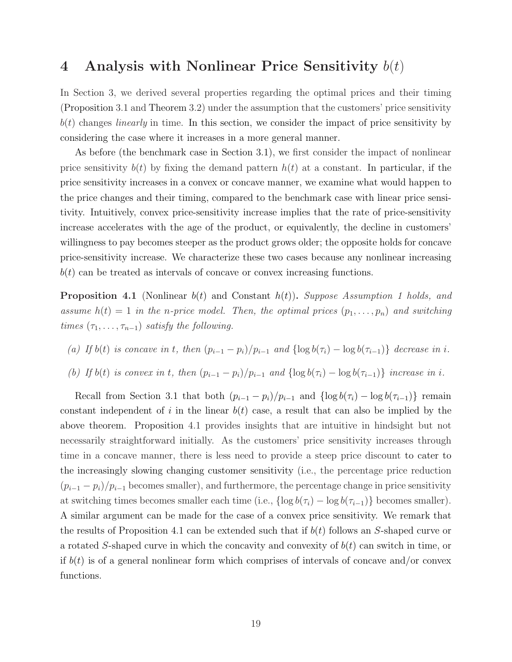### 4 Analysis with Nonlinear Price Sensitivity  $b(t)$

In Section 3, we derived several properties regarding the optimal prices and their timing (Proposition 3.1 and Theorem 3.2) under the assumption that the customers' price sensitivity  $b(t)$  changes *linearly* in time. In this section, we consider the impact of price sensitivity by considering the case where it increases in a more general manner.

As before (the benchmark case in Section 3.1), we first consider the impact of nonlinear price sensitivity  $b(t)$  by fixing the demand pattern  $h(t)$  at a constant. In particular, if the price sensitivity increases in a convex or concave manner, we examine what would happen to the price changes and their timing, compared to the benchmark case with linear price sensitivity. Intuitively, convex price-sensitivity increase implies that the rate of price-sensitivity increase accelerates with the age of the product, or equivalently, the decline in customers' willingness to pay becomes steeper as the product grows older; the opposite holds for concave price-sensitivity increase. We characterize these two cases because any nonlinear increasing  $b(t)$  can be treated as intervals of concave or convex increasing functions.

Proposition 4.1 (Nonlinear b(t) and Constant h(t)). *Suppose Assumption 1 holds, and assume*  $h(t) = 1$  *in the n-price model. Then, the optimal prices*  $(p_1, \ldots, p_n)$  *and switching times*  $(\tau_1, \ldots, \tau_{n-1})$  *satisfy the following.* 

- *(a) If*  $b(t)$  *is concave in* t*, then*  $(p_{i-1} p_i)/p_{i-1}$  *and*  $\{\log b(\tau_i) \log b(\tau_{i-1})\}\$  *decrease in i.*
- *(b)* If  $b(t)$  *is convex in* t, then  $(p_{i-1} p_i)/p_{i-1}$  *and*  $\{\log b(\tau_i) \log b(\tau_{i-1})\}$  *increase in i.*

Recall from Section 3.1 that both  $(p_{i-1} - p_i)/p_{i-1}$  and  $\{\log b(\tau_i) - \log b(\tau_{i-1})\}\$  remain constant independent of i in the linear  $b(t)$  case, a result that can also be implied by the above theorem. Proposition 4.1 provides insights that are intuitive in hindsight but not necessarily straightforward initially. As the customers' price sensitivity increases through time in a concave manner, there is less need to provide a steep price discount to cater to the increasingly slowing changing customer sensitivity (i.e., the percentage price reduction  $(p_{i-1} - p_i)/p_{i-1}$  becomes smaller), and furthermore, the percentage change in price sensitivity at switching times becomes smaller each time (i.e.,  $\{\log b(\tau_i) - \log b(\tau_{i-1})\}$  becomes smaller). A similar argument can be made for the case of a convex price sensitivity. We remark that the results of Proposition 4.1 can be extended such that if  $b(t)$  follows an S-shaped curve or a rotated S-shaped curve in which the concavity and convexity of  $b(t)$  can switch in time, or if  $b(t)$  is of a general nonlinear form which comprises of intervals of concave and/or convex functions.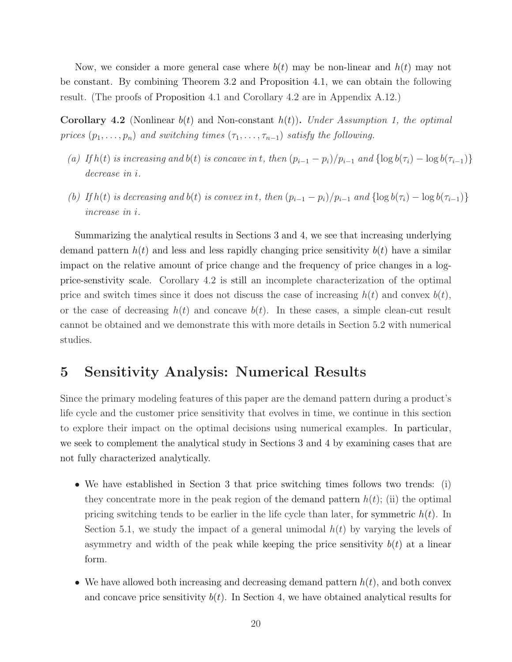Now, we consider a more general case where  $b(t)$  may be non-linear and  $h(t)$  may not be constant. By combining Theorem 3.2 and Proposition 4.1, we can obtain the following result. (The proofs of Proposition 4.1 and Corollary 4.2 are in Appendix A.12.)

Corollary 4.2 (Nonlinear b(t) and Non-constant h(t)). *Under Assumption 1, the optimal prices*  $(p_1, \ldots, p_n)$  *and switching times*  $(\tau_1, \ldots, \tau_{n-1})$  *satisfy the following.* 

- *(a) If*  $h(t)$  *is increasing and*  $b(t)$  *is concave in* t*, then*  $(p_{i-1} p_i)/p_{i-1}$  *and*  $\{\log b(\tau_i) \log b(\tau_{i-1})\}$ *decrease in* i*.*
- *(b)* If  $h(t)$  *is decreasing and*  $b(t)$  *is convex in* t, then  $(p_{i-1} p_i)/p_{i-1}$  *and*  $\{\log b(\tau_i) \log b(\tau_{i-1})\}$ *increase in* i*.*

Summarizing the analytical results in Sections 3 and 4, we see that increasing underlying demand pattern  $h(t)$  and less and less rapidly changing price sensitivity  $b(t)$  have a similar impact on the relative amount of price change and the frequency of price changes in a logprice-senstivity scale. Corollary 4.2 is still an incomplete characterization of the optimal price and switch times since it does not discuss the case of increasing  $h(t)$  and convex  $b(t)$ , or the case of decreasing  $h(t)$  and concave  $b(t)$ . In these cases, a simple clean-cut result cannot be obtained and we demonstrate this with more details in Section 5.2 with numerical studies.

### 5 Sensitivity Analysis: Numerical Results

Since the primary modeling features of this paper are the demand pattern during a product's life cycle and the customer price sensitivity that evolves in time, we continue in this section to explore their impact on the optimal decisions using numerical examples. In particular, we seek to complement the analytical study in Sections 3 and 4 by examining cases that are not fully characterized analytically.

- We have established in Section 3 that price switching times follows two trends: (i) they concentrate more in the peak region of the demand pattern  $h(t)$ ; (ii) the optimal pricing switching tends to be earlier in the life cycle than later, for symmetric  $h(t)$ . In Section 5.1, we study the impact of a general unimodal  $h(t)$  by varying the levels of asymmetry and width of the peak while keeping the price sensitivity  $b(t)$  at a linear form.
- We have allowed both increasing and decreasing demand pattern  $h(t)$ , and both convex and concave price sensitivity  $b(t)$ . In Section 4, we have obtained analytical results for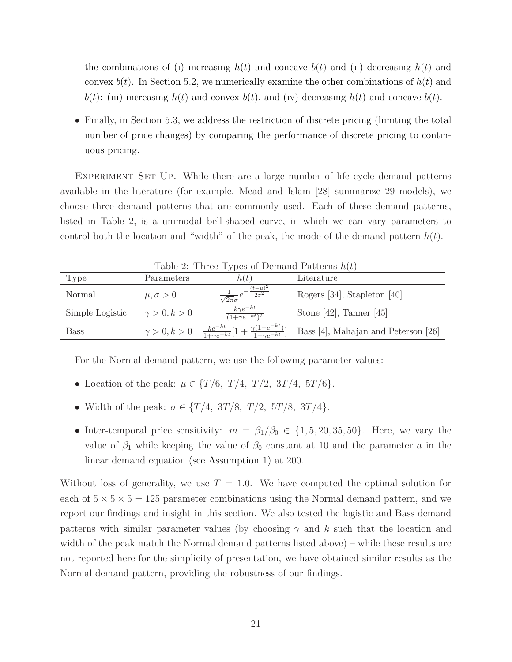the combinations of (i) increasing  $h(t)$  and concave  $b(t)$  and (ii) decreasing  $h(t)$  and convex  $b(t)$ . In Section 5.2, we numerically examine the other combinations of  $h(t)$  and  $b(t)$ : (iii) increasing  $h(t)$  and convex  $b(t)$ , and (iv) decreasing  $h(t)$  and concave  $b(t)$ .

• Finally, in Section 5.3, we address the restriction of discrete pricing (limiting the total number of price changes) by comparing the performance of discrete pricing to continuous pricing.

EXPERIMENT SET-UP. While there are a large number of life cycle demand patterns available in the literature (for example, Mead and Islam [28] summarize 29 models), we choose three demand patterns that are commonly used. Each of these demand patterns, listed in Table 2, is a unimodal bell-shaped curve, in which we can vary parameters to control both the location and "width" of the peak, the mode of the demand pattern  $h(t)$ .

| Table 2: Three Types of Demand Patterns $h(t)$ |                     |                                                                                                                 |                                     |  |  |  |
|------------------------------------------------|---------------------|-----------------------------------------------------------------------------------------------------------------|-------------------------------------|--|--|--|
| Type                                           | Parameters          | h(t)                                                                                                            | Literature                          |  |  |  |
| Normal                                         | $\mu, \sigma > 0$   | $\frac{1}{\sqrt{2\pi}\sigma}e^{-\frac{(t-\mu)^2}{2\sigma^2}}$                                                   | Rogers [34], Stapleton [40]         |  |  |  |
| Simple Logistic                                | $\gamma > 0, k > 0$ | $\frac{k\gamma e^{-kt}}{(1+\gamma e^{-kt})^2}$                                                                  | Stone [42], Tanner [45]             |  |  |  |
| Bass                                           |                     | $\gamma > 0, k > 0$ $\frac{ke^{-kt}}{1 + \gamma e^{-kt}} [1 + \frac{\gamma (1 - e^{-kt})}{1 + \gamma e^{-kt}}]$ | Bass [4], Mahajan and Peterson [26] |  |  |  |

For the Normal demand pattern, we use the following parameter values:

- Location of the peak:  $\mu \in \{T/6, T/4, T/2, 3T/4, 5T/6\}.$
- Width of the peak:  $\sigma \in \{T/4, 3T/8, T/2, 5T/8, 3T/4\}.$
- Inter-temporal price sensitivity:  $m = \beta_1/\beta_0 \in \{1, 5, 20, 35, 50\}$ . Here, we vary the value of  $\beta_1$  while keeping the value of  $\beta_0$  constant at 10 and the parameter a in the linear demand equation (see Assumption 1) at 200.

Without loss of generality, we use  $T = 1.0$ . We have computed the optimal solution for each of  $5 \times 5 \times 5 = 125$  parameter combinations using the Normal demand pattern, and we report our findings and insight in this section. We also tested the logistic and Bass demand patterns with similar parameter values (by choosing  $\gamma$  and k such that the location and width of the peak match the Normal demand patterns listed above) – while these results are not reported here for the simplicity of presentation, we have obtained similar results as the Normal demand pattern, providing the robustness of our findings.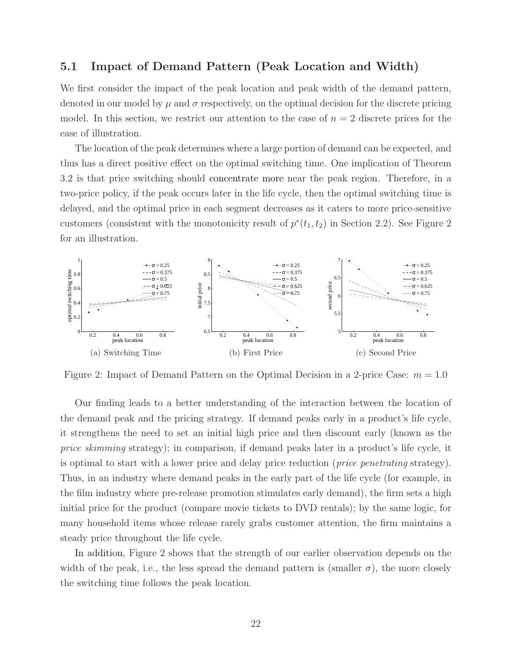#### 5.1 Impact of Demand Pattern (Peak Location and Width)

We first consider the impact of the peak location and peak width of the demand pattern, denoted in our model by  $\mu$  and  $\sigma$  respectively, on the optimal decision for the discrete pricing model. In this section, we restrict our attention to the case of  $n = 2$  discrete prices for the ease of illustration.

The location of the peak determines where a large portion of demand can be expected, and thus has a direct positive effect on the optimal switching time. One implication of Theorem 3.2 is that price switching should concentrate more near the peak region. Therefore, in a two-price policy, if the peak occurs later in the life cycle, then the optimal switching time is delayed, and the optimal price in each segment decreases as it caters to more price-sensitive customers (consistent with the monotonicity result of  $p^*(t_1, t_2)$  in Section 2.2). See Figure 2 for an illustration.



Figure 2: Impact of Demand Pattern on the Optimal Decision in a 2-price Case:  $m = 1.0$ 

Our finding leads to a better understanding of the interaction between the location of the demand peak and the pricing strategy. If demand peaks early in a product's life cycle, it strengthens the need to set an initial high price and then discount early (known as the *price skimming* strategy); in comparison, if demand peaks later in a product's life cycle, it is optimal to start with a lower price and delay price reduction (*price penetrating* strategy). Thus, in an industry where demand peaks in the early part of the life cycle (for example, in the film industry where pre-release promotion stimulates early demand), the firm sets a high initial price for the product (compare movie tickets to DVD rentals); by the same logic, for many household items whose release rarely grabs customer attention, the firm maintains a steady price throughout the life cycle.

In addition, Figure 2 shows that the strength of our earlier observation depends on the width of the peak, i.e., the less spread the demand pattern is (smaller  $\sigma$ ), the more closely the switching time follows the peak location.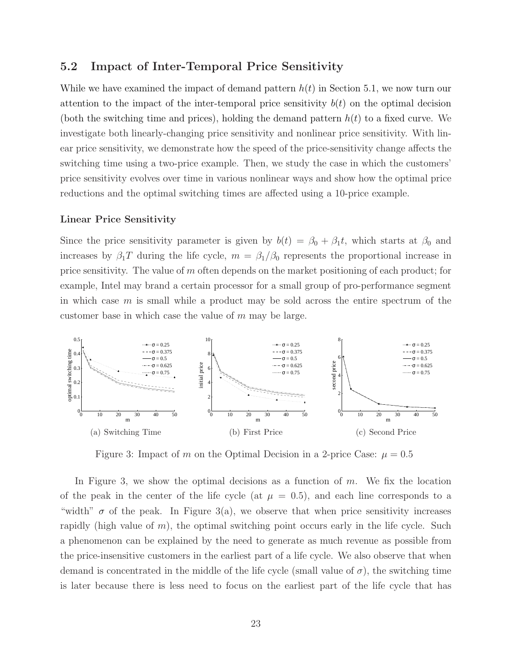#### 5.2 Impact of Inter-Temporal Price Sensitivity

While we have examined the impact of demand pattern  $h(t)$  in Section 5.1, we now turn our attention to the impact of the inter-temporal price sensitivity  $b(t)$  on the optimal decision (both the switching time and prices), holding the demand pattern  $h(t)$  to a fixed curve. We investigate both linearly-changing price sensitivity and nonlinear price sensitivity. With linear price sensitivity, we demonstrate how the speed of the price-sensitivity change affects the switching time using a two-price example. Then, we study the case in which the customers' price sensitivity evolves over time in various nonlinear ways and show how the optimal price reductions and the optimal switching times are affected using a 10-price example.

#### Linear Price Sensitivity

Since the price sensitivity parameter is given by  $b(t) = \beta_0 + \beta_1 t$ , which starts at  $\beta_0$  and increases by  $\beta_1 T$  during the life cycle,  $m = \beta_1/\beta_0$  represents the proportional increase in price sensitivity. The value of m often depends on the market positioning of each product; for example, Intel may brand a certain processor for a small group of pro-performance segment in which case  $m$  is small while a product may be sold across the entire spectrum of the customer base in which case the value of  $m$  may be large.



Figure 3: Impact of m on the Optimal Decision in a 2-price Case:  $\mu = 0.5$ 

In Figure 3, we show the optimal decisions as a function of m. We fix the location of the peak in the center of the life cycle (at  $\mu = 0.5$ ), and each line corresponds to a "width"  $\sigma$  of the peak. In Figure 3(a), we observe that when price sensitivity increases rapidly (high value of  $m$ ), the optimal switching point occurs early in the life cycle. Such a phenomenon can be explained by the need to generate as much revenue as possible from the price-insensitive customers in the earliest part of a life cycle. We also observe that when demand is concentrated in the middle of the life cycle (small value of  $\sigma$ ), the switching time is later because there is less need to focus on the earliest part of the life cycle that has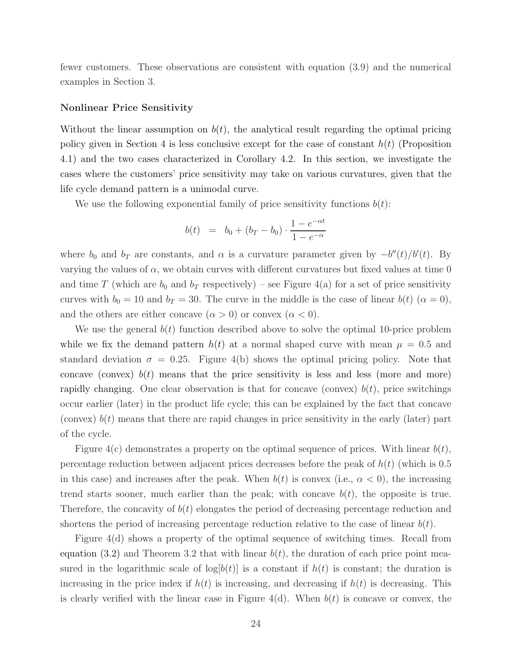fewer customers. These observations are consistent with equation (3.9) and the numerical examples in Section 3.

#### Nonlinear Price Sensitivity

Without the linear assumption on  $b(t)$ , the analytical result regarding the optimal pricing policy given in Section 4 is less conclusive except for the case of constant  $h(t)$  (Proposition 4.1) and the two cases characterized in Corollary 4.2. In this section, we investigate the cases where the customers' price sensitivity may take on various curvatures, given that the life cycle demand pattern is a unimodal curve.

We use the following exponential family of price sensitivity functions  $b(t)$ :

$$
b(t) = b_0 + (b_T - b_0) \cdot \frac{1 - e^{-\alpha t}}{1 - e^{-\alpha}}
$$

where  $b_0$  and  $b_T$  are constants, and  $\alpha$  is a curvature parameter given by  $-b''(t)/b'(t)$ . By varying the values of  $\alpha$ , we obtain curves with different curvatures but fixed values at time 0 and time T (which are  $b_0$  and  $b_T$  respectively) – see Figure 4(a) for a set of price sensitivity curves with  $b_0 = 10$  and  $b_T = 30$ . The curve in the middle is the case of linear  $b(t)$  ( $\alpha = 0$ ), and the others are either concave  $(\alpha > 0)$  or convex  $(\alpha < 0)$ .

We use the general  $b(t)$  function described above to solve the optimal 10-price problem while we fix the demand pattern  $h(t)$  at a normal shaped curve with mean  $\mu = 0.5$  and standard deviation  $\sigma = 0.25$ . Figure 4(b) shows the optimal pricing policy. Note that concave (convex)  $b(t)$  means that the price sensitivity is less and less (more and more) rapidly changing. One clear observation is that for concave (convex)  $b(t)$ , price switchings occur earlier (later) in the product life cycle; this can be explained by the fact that concave (convex)  $b(t)$  means that there are rapid changes in price sensitivity in the early (later) part of the cycle.

Figure 4(c) demonstrates a property on the optimal sequence of prices. With linear  $b(t)$ , percentage reduction between adjacent prices decreases before the peak of  $h(t)$  (which is 0.5 in this case) and increases after the peak. When  $b(t)$  is convex (i.e.,  $\alpha < 0$ ), the increasing trend starts sooner, much earlier than the peak; with concave  $b(t)$ , the opposite is true. Therefore, the concavity of  $b(t)$  elongates the period of decreasing percentage reduction and shortens the period of increasing percentage reduction relative to the case of linear  $b(t)$ .

Figure 4(d) shows a property of the optimal sequence of switching times. Recall from equation (3.2) and Theorem 3.2 that with linear  $b(t)$ , the duration of each price point measured in the logarithmic scale of  $log[b(t)]$  is a constant if  $h(t)$  is constant; the duration is increasing in the price index if  $h(t)$  is increasing, and decreasing if  $h(t)$  is decreasing. This is clearly verified with the linear case in Figure  $4(d)$ . When  $b(t)$  is concave or convex, the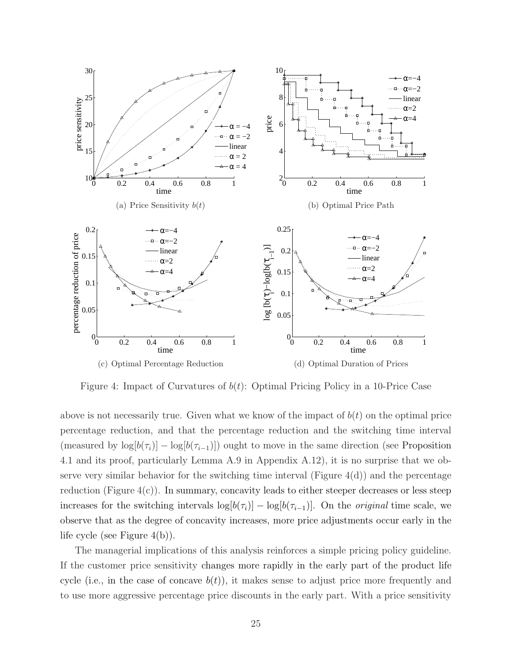

Figure 4: Impact of Curvatures of  $b(t)$ : Optimal Pricing Policy in a 10-Price Case

above is not necessarily true. Given what we know of the impact of  $b(t)$  on the optimal price percentage reduction, and that the percentage reduction and the switching time interval (measured by  $\log[b(\tau_i)] - \log[b(\tau_{i-1})]$ ) ought to move in the same direction (see Proposition 4.1 and its proof, particularly Lemma A.9 in Appendix A.12), it is no surprise that we observe very similar behavior for the switching time interval (Figure  $4(d)$ ) and the percentage reduction (Figure  $4(c)$ ). In summary, concavity leads to either steeper decreases or less steep increases for the switching intervals  $\log[b(\tau_i)] - \log[b(\tau_{i-1})]$ . On the *original* time scale, we observe that as the degree of concavity increases, more price adjustments occur early in the life cycle (see Figure 4(b)).

The managerial implications of this analysis reinforces a simple pricing policy guideline. If the customer price sensitivity changes more rapidly in the early part of the product life cycle (i.e., in the case of concave  $b(t)$ ), it makes sense to adjust price more frequently and to use more aggressive percentage price discounts in the early part. With a price sensitivity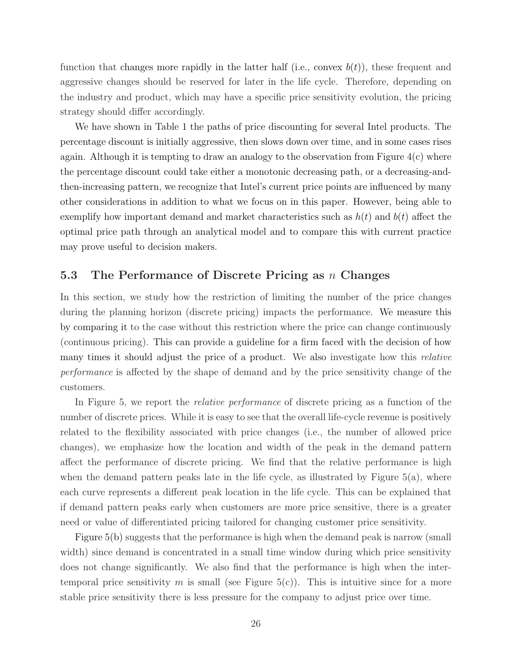function that changes more rapidly in the latter half (i.e., convex  $b(t)$ ), these frequent and aggressive changes should be reserved for later in the life cycle. Therefore, depending on the industry and product, which may have a specific price sensitivity evolution, the pricing strategy should differ accordingly.

We have shown in Table 1 the paths of price discounting for several Intel products. The percentage discount is initially aggressive, then slows down over time, and in some cases rises again. Although it is tempting to draw an analogy to the observation from Figure  $4(c)$  where the percentage discount could take either a monotonic decreasing path, or a decreasing-andthen-increasing pattern, we recognize that Intel's current price points are influenced by many other considerations in addition to what we focus on in this paper. However, being able to exemplify how important demand and market characteristics such as  $h(t)$  and  $b(t)$  affect the optimal price path through an analytical model and to compare this with current practice may prove useful to decision makers.

#### 5.3 The Performance of Discrete Pricing as  $n$  Changes

In this section, we study how the restriction of limiting the number of the price changes during the planning horizon (discrete pricing) impacts the performance. We measure this by comparing it to the case without this restriction where the price can change continuously (continuous pricing). This can provide a guideline for a firm faced with the decision of how many times it should adjust the price of a product. We also investigate how this *relative performance* is affected by the shape of demand and by the price sensitivity change of the customers.

In Figure 5, we report the *relative performance* of discrete pricing as a function of the number of discrete prices. While it is easy to see that the overall life-cycle revenue is positively related to the flexibility associated with price changes (i.e., the number of allowed price changes), we emphasize how the location and width of the peak in the demand pattern affect the performance of discrete pricing. We find that the relative performance is high when the demand pattern peaks late in the life cycle, as illustrated by Figure  $5(a)$ , where each curve represents a different peak location in the life cycle. This can be explained that if demand pattern peaks early when customers are more price sensitive, there is a greater need or value of differentiated pricing tailored for changing customer price sensitivity.

Figure 5(b) suggests that the performance is high when the demand peak is narrow (small width) since demand is concentrated in a small time window during which price sensitivity does not change significantly. We also find that the performance is high when the intertemporal price sensitivity m is small (see Figure  $5(c)$ ). This is intuitive since for a more stable price sensitivity there is less pressure for the company to adjust price over time.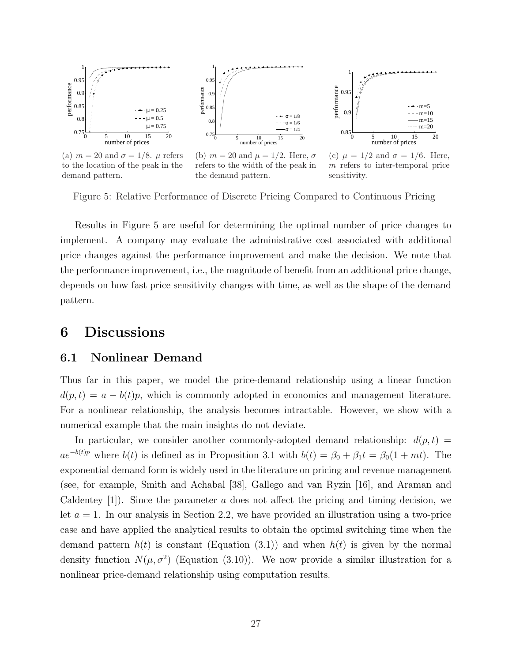

to the location of the peak in the demand pattern.



(c)  $\mu = 1/2$  and  $\sigma = 1/6$ . Here, m refers to inter-temporal price sensitivity.

Figure 5: Relative Performance of Discrete Pricing Compared to Continuous Pricing

Results in Figure 5 are useful for determining the optimal number of price changes to implement. A company may evaluate the administrative cost associated with additional price changes against the performance improvement and make the decision. We note that the performance improvement, i.e., the magnitude of benefit from an additional price change, depends on how fast price sensitivity changes with time, as well as the shape of the demand pattern.

### 6 Discussions

#### 6.1 Nonlinear Demand

Thus far in this paper, we model the price-demand relationship using a linear function  $d(p, t) = a - b(t)p$ , which is commonly adopted in economics and management literature. For a nonlinear relationship, the analysis becomes intractable. However, we show with a numerical example that the main insights do not deviate.

In particular, we consider another commonly-adopted demand relationship:  $d(p, t)$  =  $ae^{-b(t)p}$  where  $b(t)$  is defined as in Proposition 3.1 with  $b(t) = \beta_0 + \beta_1 t = \beta_0(1 + mt)$ . The exponential demand form is widely used in the literature on pricing and revenue management (see, for example, Smith and Achabal [38], Gallego and van Ryzin [16], and Araman and Caldentey  $[1]$ ). Since the parameter a does not affect the pricing and timing decision, we let  $a = 1$ . In our analysis in Section 2.2, we have provided an illustration using a two-price case and have applied the analytical results to obtain the optimal switching time when the demand pattern  $h(t)$  is constant (Equation (3.1)) and when  $h(t)$  is given by the normal density function  $N(\mu, \sigma^2)$  (Equation (3.10)). We now provide a similar illustration for a nonlinear price-demand relationship using computation results.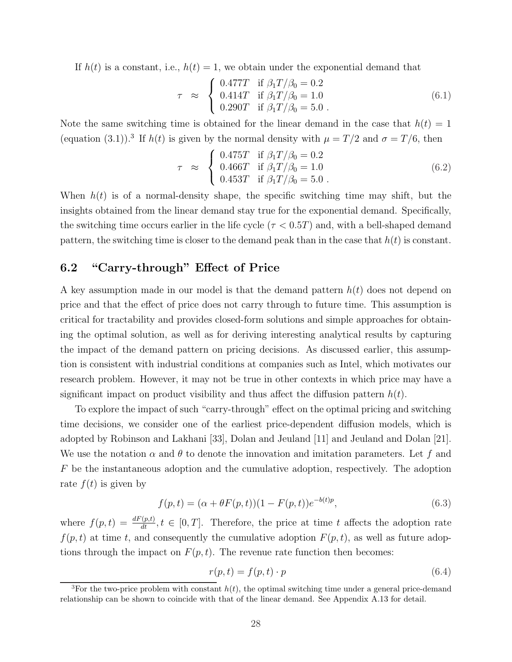If  $h(t)$  is a constant, i.e.,  $h(t) = 1$ , we obtain under the exponential demand that

$$
\tau \approx \begin{cases} 0.477T & \text{if } \beta_1 T/\beta_0 = 0.2 \\ 0.414T & \text{if } \beta_1 T/\beta_0 = 1.0 \\ 0.290T & \text{if } \beta_1 T/\beta_0 = 5.0 \end{cases}
$$
 (6.1)

Note the same switching time is obtained for the linear demand in the case that  $h(t) = 1$ (equation (3.1)).<sup>3</sup> If  $h(t)$  is given by the normal density with  $\mu = T/2$  and  $\sigma = T/6$ , then

$$
\tau \approx \begin{cases} 0.475T & \text{if } \beta_1 T/\beta_0 = 0.2 \\ 0.466T & \text{if } \beta_1 T/\beta_0 = 1.0 \\ 0.453T & \text{if } \beta_1 T/\beta_0 = 5.0 \end{cases}
$$
 (6.2)

When  $h(t)$  is of a normal-density shape, the specific switching time may shift, but the insights obtained from the linear demand stay true for the exponential demand. Specifically, the switching time occurs earlier in the life cycle ( $\tau < 0.5T$ ) and, with a bell-shaped demand pattern, the switching time is closer to the demand peak than in the case that  $h(t)$  is constant.

#### 6.2 "Carry-through" Effect of Price

A key assumption made in our model is that the demand pattern  $h(t)$  does not depend on price and that the effect of price does not carry through to future time. This assumption is critical for tractability and provides closed-form solutions and simple approaches for obtaining the optimal solution, as well as for deriving interesting analytical results by capturing the impact of the demand pattern on pricing decisions. As discussed earlier, this assumption is consistent with industrial conditions at companies such as Intel, which motivates our research problem. However, it may not be true in other contexts in which price may have a significant impact on product visibility and thus affect the diffusion pattern  $h(t)$ .

To explore the impact of such "carry-through" effect on the optimal pricing and switching time decisions, we consider one of the earliest price-dependent diffusion models, which is adopted by Robinson and Lakhani [33], Dolan and Jeuland [11] and Jeuland and Dolan [21]. We use the notation  $\alpha$  and  $\theta$  to denote the innovation and imitation parameters. Let f and F be the instantaneous adoption and the cumulative adoption, respectively. The adoption rate  $f(t)$  is given by

$$
f(p,t) = (\alpha + \theta F(p,t))(1 - F(p,t))e^{-b(t)p},
$$
\n(6.3)

where  $f(p,t) = \frac{dF(p,t)}{dt}$ ,  $t \in [0,T]$ . Therefore, the price at time t affects the adoption rate  $f(p, t)$  at time t, and consequently the cumulative adoption  $F(p, t)$ , as well as future adoptions through the impact on  $F(p, t)$ . The revenue rate function then becomes:

$$
r(p,t) = f(p,t) \cdot p \tag{6.4}
$$

<sup>&</sup>lt;sup>3</sup>For the two-price problem with constant  $h(t)$ , the optimal switching time under a general price-demand relationship can be shown to coincide with that of the linear demand. See Appendix A.13 for detail.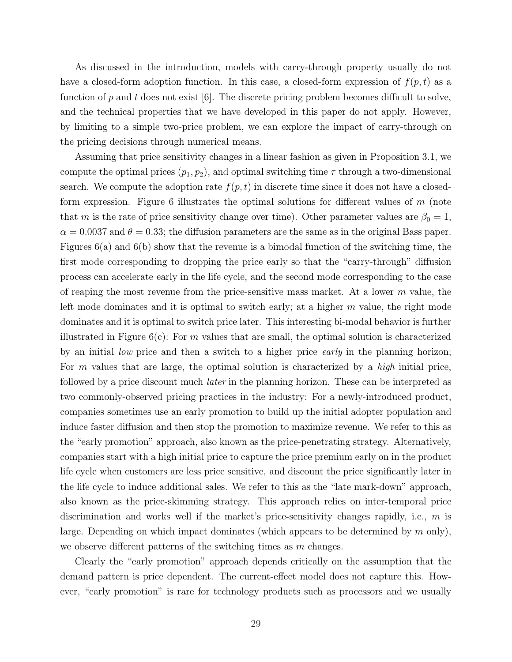As discussed in the introduction, models with carry-through property usually do not have a closed-form adoption function. In this case, a closed-form expression of  $f(p, t)$  as a function of p and t does not exist  $[6]$ . The discrete pricing problem becomes difficult to solve, and the technical properties that we have developed in this paper do not apply. However, by limiting to a simple two-price problem, we can explore the impact of carry-through on the pricing decisions through numerical means.

Assuming that price sensitivity changes in a linear fashion as given in Proposition 3.1, we compute the optimal prices  $(p_1, p_2)$ , and optimal switching time  $\tau$  through a two-dimensional search. We compute the adoption rate  $f(p, t)$  in discrete time since it does not have a closedform expression. Figure 6 illustrates the optimal solutions for different values of  $m$  (note that m is the rate of price sensitivity change over time). Other parameter values are  $\beta_0 = 1$ ,  $\alpha = 0.0037$  and  $\theta = 0.33$ ; the diffusion parameters are the same as in the original Bass paper. Figures 6(a) and 6(b) show that the revenue is a bimodal function of the switching time, the first mode corresponding to dropping the price early so that the "carry-through" diffusion process can accelerate early in the life cycle, and the second mode corresponding to the case of reaping the most revenue from the price-sensitive mass market. At a lower  $m$  value, the left mode dominates and it is optimal to switch early; at a higher  $m$  value, the right mode dominates and it is optimal to switch price later. This interesting bi-modal behavior is further illustrated in Figure  $6(c)$ : For m values that are small, the optimal solution is characterized by an initial *low* price and then a switch to a higher price *early* in the planning horizon; For m values that are large, the optimal solution is characterized by a *high* initial price, followed by a price discount much *later* in the planning horizon. These can be interpreted as two commonly-observed pricing practices in the industry: For a newly-introduced product, companies sometimes use an early promotion to build up the initial adopter population and induce faster diffusion and then stop the promotion to maximize revenue. We refer to this as the "early promotion" approach, also known as the price-penetrating strategy. Alternatively, companies start with a high initial price to capture the price premium early on in the product life cycle when customers are less price sensitive, and discount the price significantly later in the life cycle to induce additional sales. We refer to this as the "late mark-down" approach, also known as the price-skimming strategy. This approach relies on inter-temporal price discrimination and works well if the market's price-sensitivity changes rapidly, i.e.,  $m$  is large. Depending on which impact dominates (which appears to be determined by  $m$  only), we observe different patterns of the switching times as  $m$  changes.

Clearly the "early promotion" approach depends critically on the assumption that the demand pattern is price dependent. The current-effect model does not capture this. However, "early promotion" is rare for technology products such as processors and we usually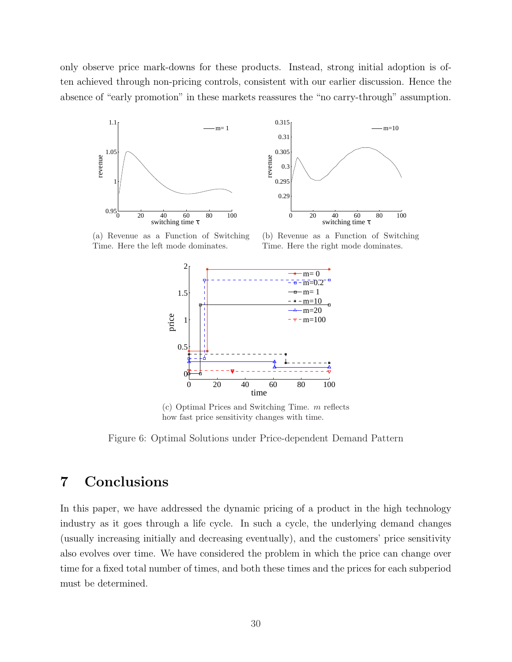only observe price mark-downs for these products. Instead, strong initial adoption is often achieved through non-pricing controls, consistent with our earlier discussion. Hence the absence of "early promotion" in these markets reassures the "no carry-through" assumption.



(a) Revenue as a Function of Switching Time. Here the left mode dominates.

(b) Revenue as a Function of Switching Time. Here the right mode dominates.



(c) Optimal Prices and Switching Time. m reflects how fast price sensitivity changes with time.

Figure 6: Optimal Solutions under Price-dependent Demand Pattern

# 7 Conclusions

In this paper, we have addressed the dynamic pricing of a product in the high technology industry as it goes through a life cycle. In such a cycle, the underlying demand changes (usually increasing initially and decreasing eventually), and the customers' price sensitivity also evolves over time. We have considered the problem in which the price can change over time for a fixed total number of times, and both these times and the prices for each subperiod must be determined.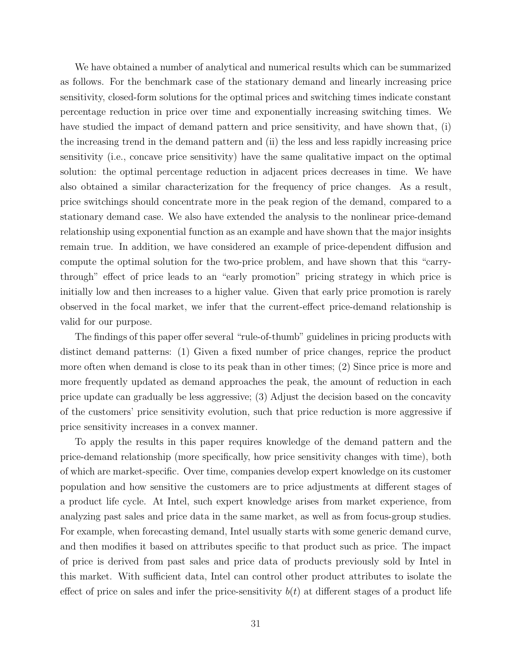We have obtained a number of analytical and numerical results which can be summarized as follows. For the benchmark case of the stationary demand and linearly increasing price sensitivity, closed-form solutions for the optimal prices and switching times indicate constant percentage reduction in price over time and exponentially increasing switching times. We have studied the impact of demand pattern and price sensitivity, and have shown that, (i) the increasing trend in the demand pattern and (ii) the less and less rapidly increasing price sensitivity (i.e., concave price sensitivity) have the same qualitative impact on the optimal solution: the optimal percentage reduction in adjacent prices decreases in time. We have also obtained a similar characterization for the frequency of price changes. As a result, price switchings should concentrate more in the peak region of the demand, compared to a stationary demand case. We also have extended the analysis to the nonlinear price-demand relationship using exponential function as an example and have shown that the major insights remain true. In addition, we have considered an example of price-dependent diffusion and compute the optimal solution for the two-price problem, and have shown that this "carrythrough" effect of price leads to an "early promotion" pricing strategy in which price is initially low and then increases to a higher value. Given that early price promotion is rarely observed in the focal market, we infer that the current-effect price-demand relationship is valid for our purpose.

The findings of this paper offer several "rule-of-thumb" guidelines in pricing products with distinct demand patterns: (1) Given a fixed number of price changes, reprice the product more often when demand is close to its peak than in other times; (2) Since price is more and more frequently updated as demand approaches the peak, the amount of reduction in each price update can gradually be less aggressive; (3) Adjust the decision based on the concavity of the customers' price sensitivity evolution, such that price reduction is more aggressive if price sensitivity increases in a convex manner.

To apply the results in this paper requires knowledge of the demand pattern and the price-demand relationship (more specifically, how price sensitivity changes with time), both of which are market-specific. Over time, companies develop expert knowledge on its customer population and how sensitive the customers are to price adjustments at different stages of a product life cycle. At Intel, such expert knowledge arises from market experience, from analyzing past sales and price data in the same market, as well as from focus-group studies. For example, when forecasting demand, Intel usually starts with some generic demand curve, and then modifies it based on attributes specific to that product such as price. The impact of price is derived from past sales and price data of products previously sold by Intel in this market. With sufficient data, Intel can control other product attributes to isolate the effect of price on sales and infer the price-sensitivity  $b(t)$  at different stages of a product life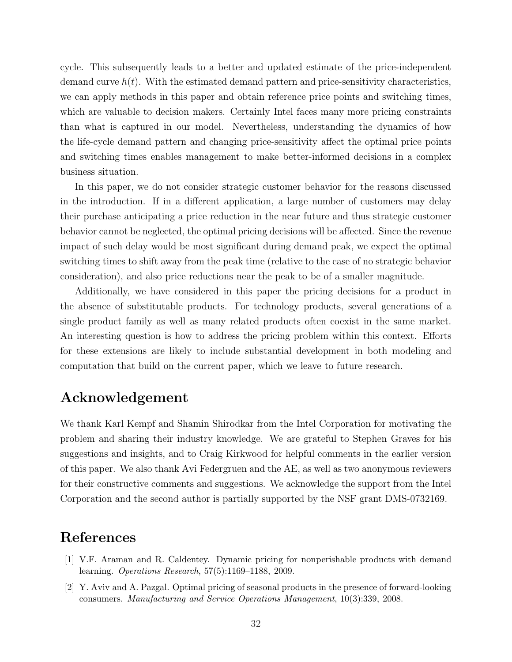cycle. This subsequently leads to a better and updated estimate of the price-independent demand curve  $h(t)$ . With the estimated demand pattern and price-sensitivity characteristics, we can apply methods in this paper and obtain reference price points and switching times, which are valuable to decision makers. Certainly Intel faces many more pricing constraints than what is captured in our model. Nevertheless, understanding the dynamics of how the life-cycle demand pattern and changing price-sensitivity affect the optimal price points and switching times enables management to make better-informed decisions in a complex business situation.

In this paper, we do not consider strategic customer behavior for the reasons discussed in the introduction. If in a different application, a large number of customers may delay their purchase anticipating a price reduction in the near future and thus strategic customer behavior cannot be neglected, the optimal pricing decisions will be affected. Since the revenue impact of such delay would be most significant during demand peak, we expect the optimal switching times to shift away from the peak time (relative to the case of no strategic behavior consideration), and also price reductions near the peak to be of a smaller magnitude.

Additionally, we have considered in this paper the pricing decisions for a product in the absence of substitutable products. For technology products, several generations of a single product family as well as many related products often coexist in the same market. An interesting question is how to address the pricing problem within this context. Efforts for these extensions are likely to include substantial development in both modeling and computation that build on the current paper, which we leave to future research.

# Acknowledgement

We thank Karl Kempf and Shamin Shirodkar from the Intel Corporation for motivating the problem and sharing their industry knowledge. We are grateful to Stephen Graves for his suggestions and insights, and to Craig Kirkwood for helpful comments in the earlier version of this paper. We also thank Avi Federgruen and the AE, as well as two anonymous reviewers for their constructive comments and suggestions. We acknowledge the support from the Intel Corporation and the second author is partially supported by the NSF grant DMS-0732169.

### References

- [1] V.F. Araman and R. Caldentey. Dynamic pricing for nonperishable products with demand learning. *Operations Research*, 57(5):1169–1188, 2009.
- [2] Y. Aviv and A. Pazgal. Optimal pricing of seasonal products in the presence of forward-looking consumers. *Manufacturing and Service Operations Management*, 10(3):339, 2008.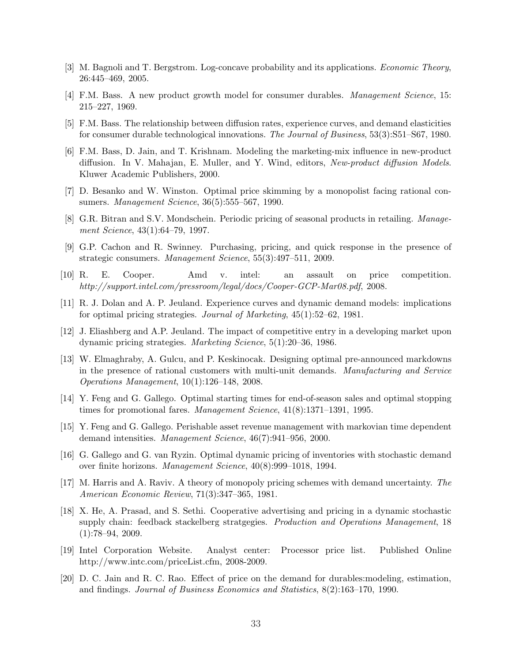- [3] M. Bagnoli and T. Bergstrom. Log-concave probability and its applications. *Economic Theory*, 26:445–469, 2005.
- [4] F.M. Bass. A new product growth model for consumer durables. *Management Science*, 15: 215–227, 1969.
- [5] F.M. Bass. The relationship between diffusion rates, experience curves, and demand elasticities for consumer durable technological innovations. *The Journal of Business*, 53(3):S51–S67, 1980.
- [6] F.M. Bass, D. Jain, and T. Krishnam. Modeling the marketing-mix influence in new-product diffusion. In V. Mahajan, E. Muller, and Y. Wind, editors, *New-product diffusion Models*. Kluwer Academic Publishers, 2000.
- [7] D. Besanko and W. Winston. Optimal price skimming by a monopolist facing rational consumers. *Management Science*, 36(5):555–567, 1990.
- [8] G.R. Bitran and S.V. Mondschein. Periodic pricing of seasonal products in retailing. *Management Science*, 43(1):64–79, 1997.
- [9] G.P. Cachon and R. Swinney. Purchasing, pricing, and quick response in the presence of strategic consumers. *Management Science*, 55(3):497–511, 2009.
- [10] R. E. Cooper. Amd v. intel: an assault on price competition. *http://support.intel.com/pressroom/legal/docs/Cooper-GCP-Mar08.pdf*, 2008.
- [11] R. J. Dolan and A. P. Jeuland. Experience curves and dynamic demand models: implications for optimal pricing strategies. *Journal of Marketing*, 45(1):52–62, 1981.
- [12] J. Eliashberg and A.P. Jeuland. The impact of competitive entry in a developing market upon dynamic pricing strategies. *Marketing Science*, 5(1):20–36, 1986.
- [13] W. Elmaghraby, A. Gulcu, and P. Keskinocak. Designing optimal pre-announced markdowns in the presence of rational customers with multi-unit demands. *Manufacturing and Service Operations Management*, 10(1):126–148, 2008.
- [14] Y. Feng and G. Gallego. Optimal starting times for end-of-season sales and optimal stopping times for promotional fares. *Management Science*, 41(8):1371–1391, 1995.
- [15] Y. Feng and G. Gallego. Perishable asset revenue management with markovian time dependent demand intensities. *Management Science*, 46(7):941–956, 2000.
- [16] G. Gallego and G. van Ryzin. Optimal dynamic pricing of inventories with stochastic demand over finite horizons. *Management Science*, 40(8):999–1018, 1994.
- [17] M. Harris and A. Raviv. A theory of monopoly pricing schemes with demand uncertainty. *The American Economic Review*, 71(3):347–365, 1981.
- [18] X. He, A. Prasad, and S. Sethi. Cooperative advertising and pricing in a dynamic stochastic supply chain: feedback stackelberg stratgegies. *Production and Operations Management*, 18  $(1):78-94, 2009.$
- [19] Intel Corporation Website. Analyst center: Processor price list. Published Online http://www.intc.com/priceList.cfm, 2008-2009.
- [20] D. C. Jain and R. C. Rao. Effect of price on the demand for durables:modeling, estimation, and findings. *Journal of Business Economics and Statistics*, 8(2):163–170, 1990.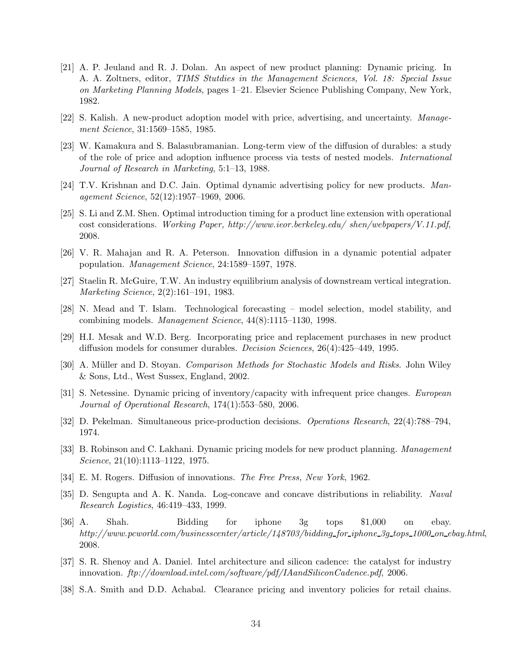- [21] A. P. Jeuland and R. J. Dolan. An aspect of new product planning: Dynamic pricing. In A. A. Zoltners, editor, *TIMS Stutdies in the Management Sciences, Vol. 18: Special Issue on Marketing Planning Models*, pages 1–21. Elsevier Science Publishing Company, New York, 1982.
- [22] S. Kalish. A new-product adoption model with price, advertising, and uncertainty. *Management Science*, 31:1569–1585, 1985.
- [23] W. Kamakura and S. Balasubramanian. Long-term view of the diffusion of durables: a study of the role of price and adoption influence process via tests of nested models. *International Journal of Research in Marketing*, 5:1–13, 1988.
- [24] T.V. Krishnan and D.C. Jain. Optimal dynamic advertising policy for new products. *Management Science*, 52(12):1957–1969, 2006.
- [25] S. Li and Z.M. Shen. Optimal introduction timing for a product line extension with operational cost considerations. *Working Paper, http://www.ieor.berkeley.edu/ shen/webpapers/V.11.pdf*, 2008.
- [26] V. R. Mahajan and R. A. Peterson. Innovation diffusion in a dynamic potential adpater population. *Management Science*, 24:1589–1597, 1978.
- [27] Staelin R. McGuire, T.W. An industry equilibrium analysis of downstream vertical integration. *Marketing Science*, 2(2):161–191, 1983.
- [28] N. Mead and T. Islam. Technological forecasting model selection, model stability, and combining models. *Management Science*, 44(8):1115–1130, 1998.
- [29] H.I. Mesak and W.D. Berg. Incorporating price and replacement purchases in new product diffusion models for consumer durables. *Decision Sciences*, 26(4):425–449, 1995.
- [30] A. Müller and D. Stoyan. *Comparison Methods for Stochastic Models and Risks*. John Wiley & Sons, Ltd., West Sussex, England, 2002.
- [31] S. Netessine. Dynamic pricing of inventory/capacity with infrequent price changes. *European Journal of Operational Research*, 174(1):553–580, 2006.
- [32] D. Pekelman. Simultaneous price-production decisions. *Operations Research*, 22(4):788–794, 1974.
- [33] B. Robinson and C. Lakhani. Dynamic pricing models for new product planning. *Management Science*, 21(10):1113–1122, 1975.
- [34] E. M. Rogers. Diffusion of innovations. *The Free Press, New York*, 1962.
- [35] D. Sengupta and A. K. Nanda. Log-concave and concave distributions in reliability. *Naval Research Logistics*, 46:419–433, 1999.
- [36] A. Shah. Bidding for iphone 3g tops \$1,000 on ebay. *http://www.pcworld.com/businesscenter/article/148703/bidding for iphone 3g tops 1000 on ebay.html*, 2008.
- [37] S. R. Shenoy and A. Daniel. Intel architecture and silicon cadence: the catalyst for industry innovation. *ftp://download.intel.com/software/pdf/IAandSiliconCadence.pdf*, 2006.
- [38] S.A. Smith and D.D. Achabal. Clearance pricing and inventory policies for retail chains.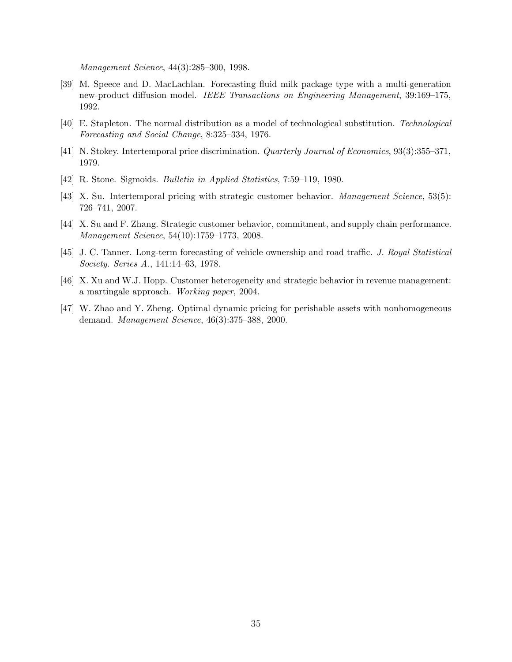*Management Science*, 44(3):285–300, 1998.

- [39] M. Speece and D. MacLachlan. Forecasting fluid milk package type with a multi-generation new-product diffusion model. *IEEE Transactions on Engineering Management*, 39:169–175, 1992.
- [40] E. Stapleton. The normal distribution as a model of technological substitution. *Technological Forecasting and Social Change*, 8:325–334, 1976.
- [41] N. Stokey. Intertemporal price discrimination. *Quarterly Journal of Economics*, 93(3):355–371, 1979.
- [42] R. Stone. Sigmoids. *Bulletin in Applied Statistics*, 7:59–119, 1980.
- [43] X. Su. Intertemporal pricing with strategic customer behavior. *Management Science*, 53(5): 726–741, 2007.
- [44] X. Su and F. Zhang. Strategic customer behavior, commitment, and supply chain performance. *Management Science*, 54(10):1759–1773, 2008.
- [45] J. C. Tanner. Long-term forecasting of vehicle ownership and road traffic. *J. Royal Statistical Society. Series A.*, 141:14–63, 1978.
- [46] X. Xu and W.J. Hopp. Customer heterogeneity and strategic behavior in revenue management: a martingale approach. *Working paper*, 2004.
- [47] W. Zhao and Y. Zheng. Optimal dynamic pricing for perishable assets with nonhomogeneous demand. *Management Science*, 46(3):375–388, 2000.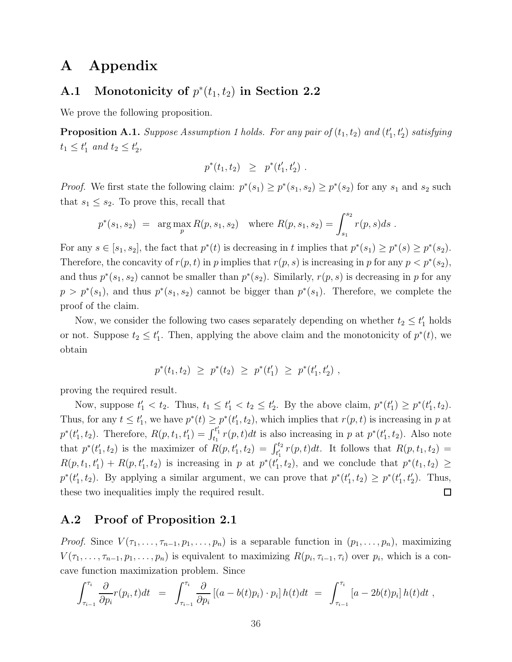### A Appendix

### $\mathbf{A.1}\quad \text{Monotonicity of}\ p^{*}(t_1, t_2)\ \text{in Section 2.2}$

We prove the following proposition.

 $\bf{Proposition~A.1.}$   $\it{Suppose~Assumption~1~holds.}$   $\it{For~any~pair~of~} (t_1, t_2)$   $\it{and~} (t'_1, t'_2)$   $\it{satisfying}$  $t_1 \leq t'_1$  and  $t_2 \leq t'_2$ ,

$$
p^*(t_1, t_2) \geq p^*(t'_1, t'_2) .
$$

*Proof.* We first state the following claim:  $p^*(s_1) \geq p^*(s_1, s_2) \geq p^*(s_2)$  for any  $s_1$  and  $s_2$  such that  $s_1 \leq s_2$ . To prove this, recall that

$$
p^*(s_1, s_2) = \arg \max_{p} R(p, s_1, s_2) \quad \text{where } R(p, s_1, s_2) = \int_{s_1}^{s_2} r(p, s) ds.
$$

For any  $s \in [s_1, s_2]$ , the fact that  $p^*(t)$  is decreasing in t implies that  $p^*(s_1) \ge p^*(s) \ge p^*(s_2)$ . Therefore, the concavity of  $r(p, t)$  in p implies that  $r(p, s)$  is increasing in p for any  $p < p^*(s_2)$ , and thus  $p^*(s_1, s_2)$  cannot be smaller than  $p^*(s_2)$ . Similarly,  $r(p, s)$  is decreasing in p for any  $p > p^*(s_1)$ , and thus  $p^*(s_1, s_2)$  cannot be bigger than  $p^*(s_1)$ . Therefore, we complete the proof of the claim.

Now, we consider the following two cases separately depending on whether  $t_2 \leq t_1'$  holds or not. Suppose  $t_2 \leq t_1'$ . Then, applying the above claim and the monotonicity of  $p^*(t)$ , we obtain

$$
p^*(t_1, t_2) \geq p^*(t_2) \geq p^*(t_1') \geq p^*(t_1', t_2') ,
$$

proving the required result.

Now, suppose  $t'_1 < t_2$ . Thus,  $t_1 \leq t'_1 < t_2 \leq t'_2$ . By the above claim,  $p^*(t'_1) \geq p^*(t'_1, t_2)$ . Thus, for any  $t \leq t_1'$ , we have  $p^*(t) \geq p^*(t_1', t_2)$ , which implies that  $r(p, t)$  is increasing in p at  $p^*(t'_1, t_2)$ . Therefore,  $R(p, t_1, t'_1) = \int_{t_1}^{t'_1} r(p, t) dt$  is also increasing in p at  $p^*(t'_1, t_2)$ . Also note that  $p^*(t'_1, t_2)$  is the maximizer of  $R(p, t'_1, t_2) = \int_{t'_1}^{t_2} r(p, t) dt$ . It follows that  $R(p, t_1, t_2) =$  $R(p, t_1, t_1') + R(p, t_1', t_2)$  is increasing in p at  $p^*(t_1', t_2)$ , and we conclude that  $p^*(t_1, t_2) \ge$  $p^*(t'_1, t_2)$ . By applying a similar argument, we can prove that  $p^*(t'_1, t_2) \geq p^*(t'_1, t'_2)$ . Thus, these two inequalities imply the required result.  $\Box$ 

#### A.2 Proof of Proposition 2.1

*Proof.* Since  $V(\tau_1, \ldots, \tau_{n-1}, p_1, \ldots, p_n)$  is a separable function in  $(p_1, \ldots, p_n)$ , maximizing  $V(\tau_1,\ldots,\tau_{n-1},p_1,\ldots,p_n)$  is equivalent to maximizing  $R(p_i,\tau_{i-1},\tau_i)$  over  $p_i$ , which is a concave function maximization problem. Since

$$
\int_{\tau_{i-1}}^{\tau_i} \frac{\partial}{\partial p_i} r(p_i, t) dt = \int_{\tau_{i-1}}^{\tau_i} \frac{\partial}{\partial p_i} [(a - b(t)p_i) \cdot p_i] h(t) dt = \int_{\tau_{i-1}}^{\tau_i} [a - 2b(t)p_i] h(t) dt,
$$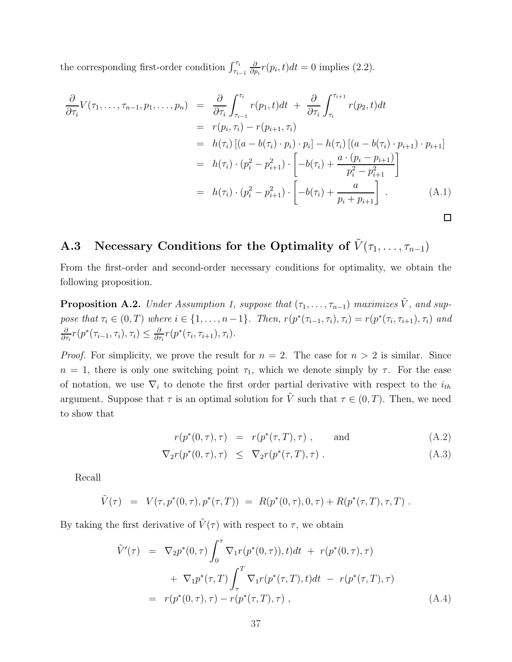the corresponding first-order condition  $\int_{\tau_{i-1}}^{\tau_i}$ ∂  $\frac{\partial}{\partial p_i}r(p_i, t)dt = 0$  implies (2.2).

$$
\frac{\partial}{\partial \tau_i} V(\tau_1, \dots, \tau_{n-1}, p_1, \dots, p_n) = \frac{\partial}{\partial \tau_i} \int_{\tau_{i-1}}^{\tau_i} r(p_1, t) dt + \frac{\partial}{\partial \tau_i} \int_{\tau_i}^{\tau_{i+1}} r(p_2, t) dt \n= r(p_i, \tau_i) - r(p_{i+1}, \tau_i) \n= h(\tau_i) [(a - b(\tau_i) \cdot p_i) \cdot p_i] - h(\tau_i) [(a - b(\tau_i) \cdot p_{i+1}) \cdot p_{i+1}] \n= h(\tau_i) \cdot (p_i^2 - p_{i+1}^2) \cdot \left[ -b(\tau_i) + \frac{a \cdot (p_i - p_{i+1})}{p_i^2 - p_{i+1}^2} \right] \n= h(\tau_i) \cdot (p_i^2 - p_{i+1}^2) \cdot \left[ -b(\tau_i) + \frac{a}{p_i + p_{i+1}} \right]. \tag{A.1}
$$

# A.3 Necessary Conditions for the Optimality of  $\tilde{V}(\tau_1, \ldots, \tau_{n-1})$

From the first-order and second-order necessary conditions for optimality, we obtain the following proposition.

**Proposition A.2.** *Under Assumption 1, suppose that*  $(\tau_1, \ldots, \tau_{n-1})$  *maximizes*  $\tilde{V}$ *, and suppose that*  $\tau_i \in (0, T)$  *where*  $i \in \{1, ..., n-1\}$ *. Then,*  $r(p^*(\tau_{i-1}, \tau_i), \tau_i) = r(p^*(\tau_i, \tau_{i+1}), \tau_i)$  *and* ∂  $\frac{\partial}{\partial \tau_i} r(p^*(\tau_{i-1}, \tau_i), \tau_i) \leq \frac{\partial}{\partial \tau_i}$  $\frac{\partial}{\partial \tau_i} r(p^*(\tau_i, \tau_{i+1}), \tau_i).$ 

*Proof.* For simplicity, we prove the result for  $n = 2$ . The case for  $n > 2$  is similar. Since  $n = 1$ , there is only one switching point  $\tau_1$ , which we denote simply by  $\tau$ . For the ease of notation, we use  $\nabla_i$  to denote the first order partial derivative with respect to the  $i_{th}$ argument. Suppose that  $\tau$  is an optimal solution for  $\tilde{V}$  such that  $\tau \in (0, T)$ . Then, we need to show that

$$
r(p^*(0,\tau),\tau) = r(p^*(\tau,T),\tau) , \text{ and } (A.2)
$$

$$
\nabla_2 r(p^*(0,\tau),\tau) \leq \nabla_2 r(p^*(\tau,T),\tau) . \tag{A.3}
$$

Recall

$$
\tilde{V}(\tau) = V(\tau, p^*(0, \tau), p^*(\tau, T)) = R(p^*(0, \tau), 0, \tau) + R(p^*(\tau, T), \tau, T).
$$

By taking the first derivative of  $\tilde{V}(\tau)$  with respect to  $\tau$ , we obtain

$$
\tilde{V}'(\tau) = \nabla_2 p^*(0, \tau) \int_0^{\tau} \nabla_1 r(p^*(0, \tau)), t) dt + r(p^*(0, \tau), \tau) \n+ \nabla_1 p^*(\tau, T) \int_{\tau}^T \nabla_1 r(p^*(\tau, T), t) dt - r(p^*(\tau, T), \tau) \n= r(p^*(0, \tau), \tau) - r(p^*(\tau, T), \tau) ,
$$
\n(A.4)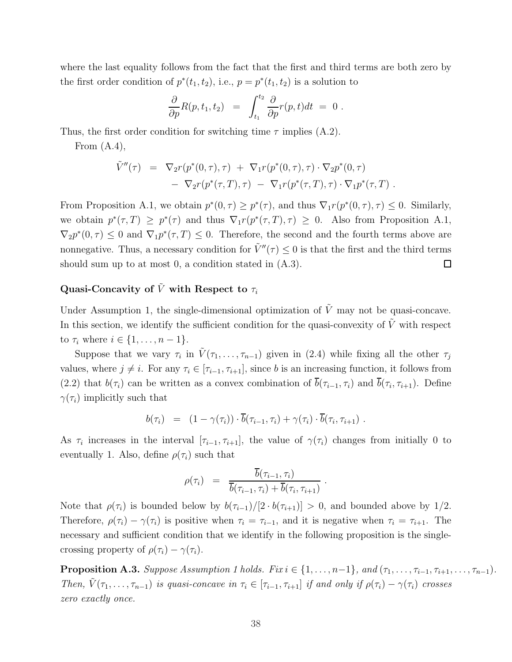where the last equality follows from the fact that the first and third terms are both zero by the first order condition of  $p^*(t_1, t_2)$ , i.e.,  $p = p^*(t_1, t_2)$  is a solution to

$$
\frac{\partial}{\partial p}R(p,t_1,t_2) = \int_{t_1}^{t_2} \frac{\partial}{\partial p}r(p,t)dt = 0.
$$

Thus, the first order condition for switching time  $\tau$  implies (A.2).

From  $(A.4)$ ,

$$
\tilde{V}''(\tau) = \nabla_2 r(p^*(0, \tau), \tau) + \nabla_1 r(p^*(0, \tau), \tau) \cdot \nabla_2 p^*(0, \tau) \n- \nabla_2 r(p^*(\tau, T), \tau) - \nabla_1 r(p^*(\tau, T), \tau) \cdot \nabla_1 p^*(\tau, T) .
$$

From Proposition A.1, we obtain  $p^*(0, \tau) \geq p^*(\tau)$ , and thus  $\nabla_1 r(p^*(0, \tau), \tau) \leq 0$ . Similarly, we obtain  $p^*(\tau,T) \geq p^*(\tau)$  and thus  $\nabla_1 r(p^*(\tau,T),\tau) \geq 0$ . Also from Proposition A.1,  $\nabla_2 p^*(0,\tau) \leq 0$  and  $\nabla_1 p^*(\tau,T) \leq 0$ . Therefore, the second and the fourth terms above are nonnegative. Thus, a necessary condition for  $\tilde{V}''(\tau) \leq 0$  is that the first and the third terms should sum up to at most 0, a condition stated in (A.3).  $\Box$ 

### Quasi-Concavity of  $\tilde{V}$  with Respect to  $\tau_i$

Under Assumption 1, the single-dimensional optimization of  $\tilde{V}$  may not be quasi-concave. In this section, we identify the sufficient condition for the quasi-convexity of  $\tilde{V}$  with respect to  $\tau_i$  where  $i \in \{1, \ldots, n-1\}.$ 

Suppose that we vary  $\tau_i$  in  $\tilde{V}(\tau_1,\ldots,\tau_{n-1})$  given in (2.4) while fixing all the other  $\tau_j$ values, where  $j \neq i$ . For any  $\tau_i \in [\tau_{i-1}, \tau_{i+1}]$ , since b is an increasing function, it follows from (2.2) that  $b(\tau_i)$  can be written as a convex combination of  $b(\tau_{i-1}, \tau_i)$  and  $b(\tau_i, \tau_{i+1})$ . Define  $\gamma(\tau_i)$  implicitly such that

$$
b(\tau_i) = (1 - \gamma(\tau_i)) \cdot \overline{b}(\tau_{i-1}, \tau_i) + \gamma(\tau_i) \cdot \overline{b}(\tau_i, \tau_{i+1}).
$$

As  $\tau_i$  increases in the interval  $[\tau_{i-1}, \tau_{i+1}]$ , the value of  $\gamma(\tau_i)$  changes from initially 0 to eventually 1. Also, define  $\rho(\tau_i)$  such that

$$
\rho(\tau_i) = \frac{b(\tau_{i-1}, \tau_i)}{\overline{b}(\tau_{i-1}, \tau_i) + \overline{b}(\tau_i, \tau_{i+1})}.
$$

Note that  $\rho(\tau_i)$  is bounded below by  $b(\tau_{i-1})/[2 \cdot b(\tau_{i+1})] > 0$ , and bounded above by 1/2. Therefore,  $\rho(\tau_i) - \gamma(\tau_i)$  is positive when  $\tau_i = \tau_{i-1}$ , and it is negative when  $\tau_i = \tau_{i+1}$ . The necessary and sufficient condition that we identify in the following proposition is the singlecrossing property of  $\rho(\tau_i) - \gamma(\tau_i)$ .

**Proposition A.3.** *Suppose Assumption 1 holds. Fix*  $i \in \{1, \ldots, n-1\}$ *, and*  $(\tau_1, \ldots, \tau_{i-1}, \tau_{i+1}, \ldots, \tau_{n-1})$ *. Then,*  $\tilde{V}(\tau_1, \ldots, \tau_{n-1})$  *is quasi-concave in*  $\tau_i \in [\tau_{i-1}, \tau_{i+1}]$  *if and only if*  $\rho(\tau_i) - \gamma(\tau_i)$  *crosses zero exactly once.*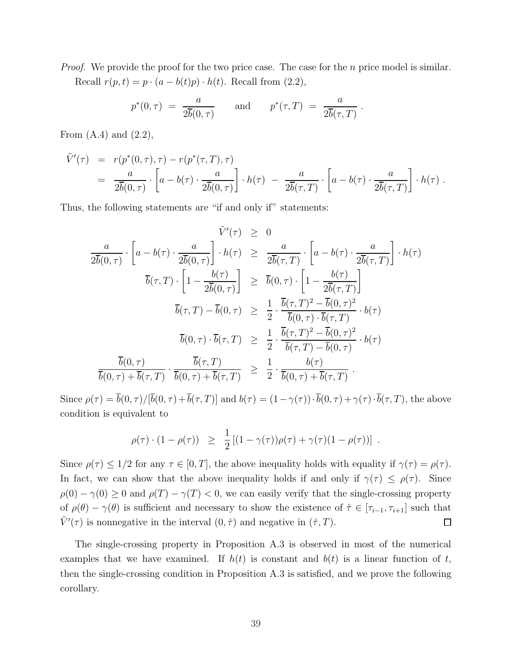*Proof.* We provide the proof for the two price case. The case for the *n* price model is similar. Recall  $r(p, t) = p \cdot (a - b(t)p) \cdot h(t)$ . Recall from (2.2),

.

$$
p^*(0, \tau) = \frac{a}{2\overline{b}(0, \tau)}
$$
 and  $p^*(\tau, T) = \frac{a}{2\overline{b}(\tau, T)}$ 

From  $(A.4)$  and  $(2.2)$ ,

$$
\tilde{V}'(\tau) = r(p^*(0, \tau), \tau) - r(p^*(\tau, T), \tau) \n= \frac{a}{2\overline{b}(0, \tau)} \cdot \left[ a - b(\tau) \cdot \frac{a}{2\overline{b}(0, \tau)} \right] \cdot h(\tau) - \frac{a}{2\overline{b}(\tau, T)} \cdot \left[ a - b(\tau) \cdot \frac{a}{2\overline{b}(\tau, T)} \right] \cdot h(\tau) .
$$

Thus, the following statements are "if and only if" statements:

$$
\tilde{V}'(\tau) \geq 0
$$
\n
$$
\frac{a}{2\overline{b}(0,\tau)} \cdot \left[ a - b(\tau) \cdot \frac{a}{2\overline{b}(0,\tau)} \right] \cdot h(\tau) \geq \frac{a}{2\overline{b}(\tau,T)} \cdot \left[ a - b(\tau) \cdot \frac{a}{2\overline{b}(\tau,T)} \right] \cdot h(\tau)
$$
\n
$$
\overline{b}(\tau,T) \cdot \left[ 1 - \frac{b(\tau)}{2\overline{b}(0,\tau)} \right] \geq \overline{b}(0,\tau) \cdot \left[ 1 - \frac{b(\tau)}{2\overline{b}(\tau,T)} \right]
$$
\n
$$
\overline{b}(\tau,T) - \overline{b}(0,\tau) \geq \frac{1}{2} \cdot \frac{\overline{b}(\tau,T)^2 - \overline{b}(0,\tau)^2}{\overline{b}(0,\tau) \cdot \overline{b}(\tau,T)} \cdot b(\tau)
$$
\n
$$
\overline{b}(0,\tau) \cdot \overline{b}(\tau,T) \geq \frac{1}{2} \cdot \frac{\overline{b}(\tau,T)^2 - \overline{b}(0,\tau)^2}{\overline{b}(\tau,T) - \overline{b}(0,\tau)} \cdot b(\tau)
$$
\n
$$
\frac{\overline{b}(0,\tau)}{\overline{b}(0,\tau) + \overline{b}(\tau,T)} \cdot \frac{\overline{b}(\tau,T)}{\overline{b}(0,\tau) + \overline{b}(\tau,T)} \geq \frac{1}{2} \cdot \frac{b(\tau)}{\overline{b}(0,\tau) + \overline{b}(\tau,T)}.
$$

Since  $\rho(\tau) = \overline{b}(0, \tau) / [\overline{b}(0, \tau) + \overline{b}(\tau, T)]$  and  $b(\tau) = (1 - \gamma(\tau)) \cdot \overline{b}(0, \tau) + \gamma(\tau) \cdot \overline{b}(\tau, T)$ , the above condition is equivalent to

$$
\rho(\tau) \cdot (1 - \rho(\tau)) \geq \frac{1}{2} [(1 - \gamma(\tau))\rho(\tau) + \gamma(\tau)(1 - \rho(\tau))] .
$$

Since  $\rho(\tau) \leq 1/2$  for any  $\tau \in [0, T]$ , the above inequality holds with equality if  $\gamma(\tau) = \rho(\tau)$ . In fact, we can show that the above inequality holds if and only if  $\gamma(\tau) \leq \rho(\tau)$ . Since  $\rho(0) - \gamma(0) \geq 0$  and  $\rho(T) - \gamma(T) < 0$ , we can easily verify that the single-crossing property of  $\rho(\theta) - \gamma(\theta)$  is sufficient and necessary to show the existence of  $\hat{\tau} \in [\tau_{i-1}, \tau_{i+1}]$  such that  $\tilde{V}'(\tau)$  is nonnegative in the interval  $(0, \hat{\tau})$  and negative in  $(\hat{\tau}, T)$ .  $\Box$ 

The single-crossing property in Proposition A.3 is observed in most of the numerical examples that we have examined. If  $h(t)$  is constant and  $b(t)$  is a linear function of t, then the single-crossing condition in Proposition A.3 is satisfied, and we prove the following corollary.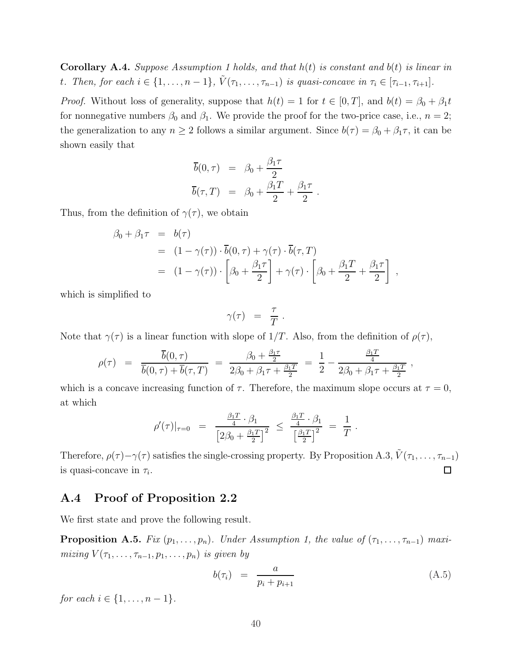Corollary A.4. *Suppose Assumption 1 holds, and that* h(t) *is constant and* b(t) *is linear in t.* Then, for each  $i \in \{1, ..., n-1\}$ ,  $\tilde{V}(\tau_1, ..., \tau_{n-1})$  is quasi-concave in  $\tau_i \in [\tau_{i-1}, \tau_{i+1}]$ .

*Proof.* Without loss of generality, suppose that  $h(t) = 1$  for  $t \in [0, T]$ , and  $b(t) = \beta_0 + \beta_1 t$ for nonnegative numbers  $\beta_0$  and  $\beta_1$ . We provide the proof for the two-price case, i.e.,  $n = 2$ ; the generalization to any  $n \geq 2$  follows a similar argument. Since  $b(\tau) = \beta_0 + \beta_1 \tau$ , it can be shown easily that

$$
\overline{b}(0,\tau) = \beta_0 + \frac{\beta_1 \tau}{2}
$$
  

$$
\overline{b}(\tau,T) = \beta_0 + \frac{\beta_1 T}{2} + \frac{\beta_1 \tau}{2}
$$

.

Thus, from the definition of  $\gamma(\tau)$ , we obtain

$$
\beta_0 + \beta_1 \tau = b(\tau)
$$
  
=  $(1 - \gamma(\tau)) \cdot \overline{b}(0, \tau) + \gamma(\tau) \cdot \overline{b}(\tau, T)$   
=  $(1 - \gamma(\tau)) \cdot \left[ \beta_0 + \frac{\beta_1 \tau}{2} \right] + \gamma(\tau) \cdot \left[ \beta_0 + \frac{\beta_1 T}{2} + \frac{\beta_1 \tau}{2} \right],$ 

which is simplified to

$$
\gamma(\tau) = \frac{\tau}{T} .
$$

Note that  $\gamma(\tau)$  is a linear function with slope of 1/T. Also, from the definition of  $\rho(\tau)$ ,

$$
\rho(\tau) = \frac{\overline{b}(0,\tau)}{\overline{b}(0,\tau) + \overline{b}(\tau,T)} = \frac{\beta_0 + \frac{\beta_1 \tau}{2}}{2\beta_0 + \beta_1 \tau + \frac{\beta_1 T}{2}} = \frac{1}{2} - \frac{\frac{\beta_1 T}{4}}{2\beta_0 + \beta_1 \tau + \frac{\beta_1 T}{2}},
$$

which is a concave increasing function of  $\tau$ . Therefore, the maximum slope occurs at  $\tau = 0$ , at which

$$
\rho'(\tau)|_{\tau=0} = \frac{\frac{\beta_1 T}{4} \cdot \beta_1}{\left[2\beta_0 + \frac{\beta_1 T}{2}\right]^2} \le \frac{\frac{\beta_1 T}{4} \cdot \beta_1}{\left[\frac{\beta_1 T}{2}\right]^2} = \frac{1}{T}.
$$

Therefore,  $\rho(\tau) - \gamma(\tau)$  satisfies the single-crossing property. By Proposition A.3,  $\tilde{V}(\tau_1, \ldots, \tau_{n-1})$ is quasi-concave in  $\tau_i$ . 口

#### A.4 Proof of Proposition 2.2

We first state and prove the following result.

**Proposition A.5.** *Fix*  $(p_1, \ldots, p_n)$ *. Under Assumption 1, the value of*  $(\tau_1, \ldots, \tau_{n-1})$  *maximizing*  $V(\tau_1, \ldots, \tau_{n-1}, p_1, \ldots, p_n)$  *is given by* 

$$
b(\tau_i) = \frac{a}{p_i + p_{i+1}} \tag{A.5}
$$

*for each*  $i \in \{1, ..., n-1\}$ *.*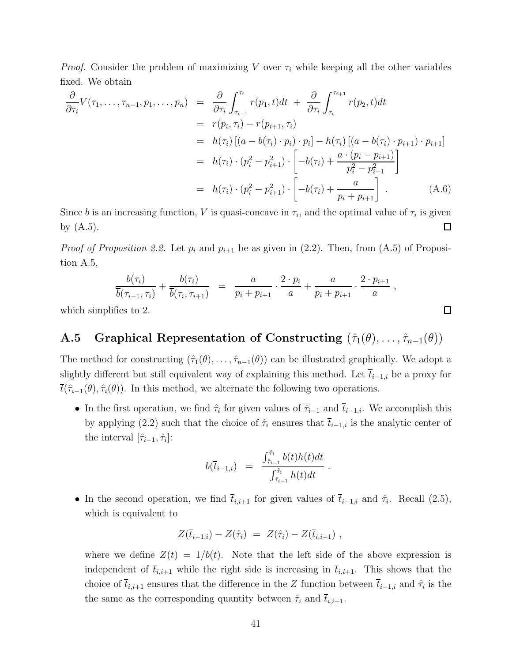*Proof.* Consider the problem of maximizing V over  $\tau_i$  while keeping all the other variables fixed. We obtain

$$
\frac{\partial}{\partial \tau_i} V(\tau_1, \dots, \tau_{n-1}, p_1, \dots, p_n) = \frac{\partial}{\partial \tau_i} \int_{\tau_{i-1}}^{\tau_i} r(p_1, t) dt + \frac{\partial}{\partial \tau_i} \int_{\tau_i}^{\tau_{i+1}} r(p_2, t) dt \n= r(p_i, \tau_i) - r(p_{i+1}, \tau_i) \n= h(\tau_i) [(a - b(\tau_i) \cdot p_i) \cdot p_i] - h(\tau_i) [(a - b(\tau_i) \cdot p_{i+1}) \cdot p_{i+1}] \n= h(\tau_i) \cdot (p_i^2 - p_{i+1}^2) \cdot \left[ -b(\tau_i) + \frac{a \cdot (p_i - p_{i+1})}{p_i^2 - p_{i+1}^2} \right] \n= h(\tau_i) \cdot (p_i^2 - p_{i+1}^2) \cdot \left[ -b(\tau_i) + \frac{a}{p_i + p_{i+1}} \right]. \tag{A.6}
$$

Since b is an increasing function, V is quasi-concave in  $\tau_i$ , and the optimal value of  $\tau_i$  is given by  $(A.5)$ .  $\Box$ 

*Proof of Proposition 2.2.* Let  $p_i$  and  $p_{i+1}$  be as given in (2.2). Then, from (A.5) of Proposition A.5,

$$
\frac{b(\tau_i)}{\overline{b}(\tau_{i-1}, \tau_i)} + \frac{b(\tau_i)}{\overline{b}(\tau_i, \tau_{i+1})} = \frac{a}{p_i + p_{i+1}} \cdot \frac{2 \cdot p_i}{a} + \frac{a}{p_i + p_{i+1}} \cdot \frac{2 \cdot p_{i+1}}{a} ,
$$

which simplifies to 2.

# A.5 Graphical Representation of Constructing  $(\hat{\tau}_1(\theta), \ldots, \hat{\tau}_{n-1}(\theta))$

The method for constructing  $(\hat{\tau}_1(\theta), \ldots, \hat{\tau}_{n-1}(\theta))$  can be illustrated graphically. We adopt a slightly different but still equivalent way of explaining this method. Let  $\bar{t}_{i-1,i}$  be a proxy for  $\bar{t}(\hat{\tau}_{i-1}(\theta), \hat{\tau}_i(\theta)).$  In this method, we alternate the following two operations.

• In the first operation, we find  $\hat{\tau}_i$  for given values of  $\hat{\tau}_{i-1}$  and  $\overline{t}_{i-1,i}$ . We accomplish this by applying (2.2) such that the choice of  $\hat{\tau}_i$  ensures that  $\overline{t}_{i-1,i}$  is the analytic center of the interval  $[\hat{\tau}_{i-1}, \hat{\tau}_i]$ :

$$
b(\bar{t}_{i-1,i}) = \frac{\int_{\hat{\tau}_{i-1}}^{\hat{\tau}_{i}} b(t)h(t)dt}{\int_{\hat{\tau}_{i-1}}^{\hat{\tau}_{i}} h(t)dt}
$$

.

 $\Box$ 

• In the second operation, we find  $\overline{t}_{i,i+1}$  for given values of  $\overline{t}_{i-1,i}$  and  $\hat{\tau}_i$ . Recall (2.5), which is equivalent to

$$
Z(\overline{t}_{i-1,i}) - Z(\hat{\tau}_i) = Z(\hat{\tau}_i) - Z(\overline{t}_{i,i+1}),
$$

where we define  $Z(t) = 1/b(t)$ . Note that the left side of the above expression is independent of  $\bar{t}_{i,i+1}$  while the right side is increasing in  $\bar{t}_{i,i+1}$ . This shows that the choice of  $\bar{t}_{i,i+1}$  ensures that the difference in the Z function between  $\bar{t}_{i-1,i}$  and  $\hat{\tau}_i$  is the the same as the corresponding quantity between  $\hat{\tau}_i$  and  $\overline{t}_{i,i+1}$ .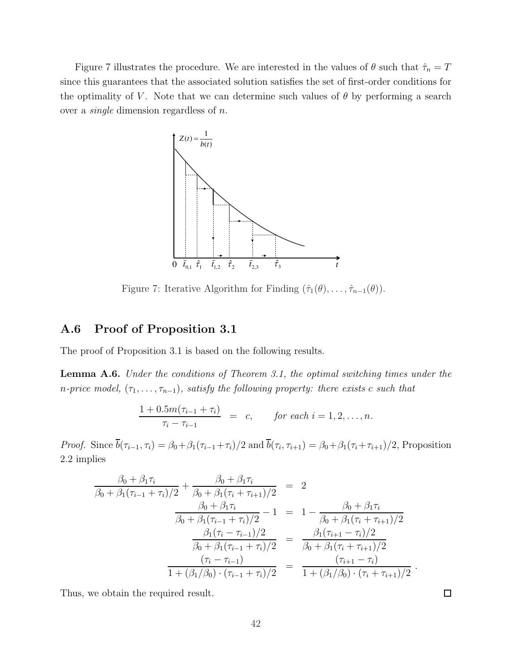Figure 7 illustrates the procedure. We are interested in the values of  $\theta$  such that  $\hat{\tau}_n = T$ since this guarantees that the associated solution satisfies the set of first-order conditions for the optimality of V. Note that we can determine such values of  $\theta$  by performing a search over a *single* dimension regardless of n.



Figure 7: Iterative Algorithm for Finding  $(\hat{\tau}_1(\theta), \ldots, \hat{\tau}_{n-1}(\theta)).$ 

#### A.6 Proof of Proposition 3.1

The proof of Proposition 3.1 is based on the following results.

Lemma A.6. *Under the conditions of Theorem 3.1, the optimal switching times under the n*-price model,  $(\tau_1, \ldots, \tau_{n-1})$ *, satisfy the following property: there exists c such that* 

$$
\frac{1 + 0.5m(\tau_{i-1} + \tau_i)}{\tau_i - \tau_{i-1}} = c, \quad \text{for each } i = 1, 2, \dots, n.
$$

*Proof.* Since  $b(\tau_{i-1}, \tau_i) = \beta_0 + \beta_1(\tau_{i-1} + \tau_i)/2$  and  $b(\tau_i, \tau_{i+1}) = \beta_0 + \beta_1(\tau_i + \tau_{i+1})/2$ , Proposition 2.2 implies

$$
\frac{\beta_0 + \beta_1 \tau_i}{\beta_0 + \beta_1 (\tau_{i-1} + \tau_i)/2} + \frac{\beta_0 + \beta_1 \tau_i}{\beta_0 + \beta_1 (\tau_i + \tau_{i+1})/2} = 2
$$
\n
$$
\frac{\beta_0 + \beta_1 \tau_i}{\beta_0 + \beta_1 (\tau_{i-1} + \tau_i)/2} - 1 = 1 - \frac{\beta_0 + \beta_1 \tau_i}{\beta_0 + \beta_1 (\tau_i + \tau_{i+1})/2}
$$
\n
$$
\frac{\beta_1 (\tau_i - \tau_{i-1})/2}{\beta_0 + \beta_1 (\tau_{i-1} + \tau_i)/2} = \frac{\beta_1 (\tau_{i+1} - \tau_i)/2}{\beta_0 + \beta_1 (\tau_i + \tau_{i+1})/2}
$$
\n
$$
\frac{(\tau_i - \tau_{i-1})}{1 + (\beta_1/\beta_0) \cdot (\tau_{i-1} + \tau_i)/2} = \frac{(\tau_{i+1} - \tau_i)}{1 + (\beta_1/\beta_0) \cdot (\tau_i + \tau_{i+1})/2}.
$$

Thus, we obtain the required result.

42

 $\Box$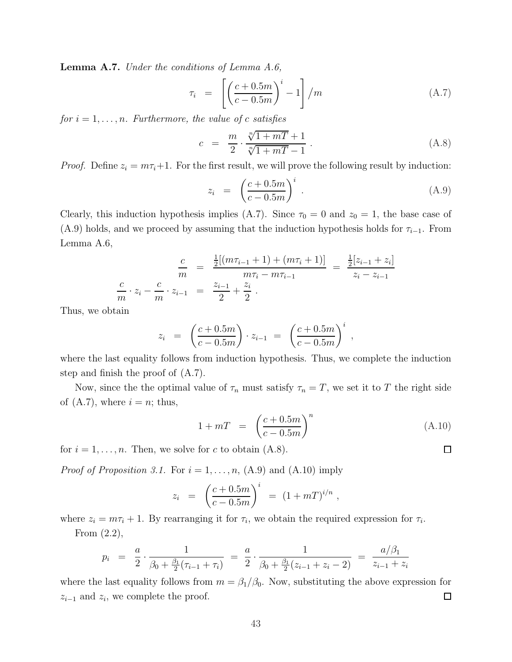Lemma A.7. *Under the conditions of Lemma A.6,*

$$
\tau_i = \left[ \left( \frac{c + 0.5m}{c - 0.5m} \right)^i - 1 \right] / m \tag{A.7}
$$

 $for i = 1, \ldots, n$ *. Furthermore, the value of c satisfies* 

$$
c = \frac{m}{2} \cdot \frac{\sqrt[n]{1 + mT} + 1}{\sqrt[n]{1 + mT} - 1} \,. \tag{A.8}
$$

*Proof.* Define  $z_i = m\tau_i + 1$ . For the first result, we will prove the following result by induction:

$$
z_i = \left(\frac{c + 0.5m}{c - 0.5m}\right)^i.
$$
\n(A.9)

Clearly, this induction hypothesis implies (A.7). Since  $\tau_0 = 0$  and  $z_0 = 1$ , the base case of (A.9) holds, and we proceed by assuming that the induction hypothesis holds for  $\tau_{i-1}$ . From Lemma A.6,

$$
\frac{c}{m} = \frac{\frac{1}{2}[(m\tau_{i-1}+1)+(m\tau_i+1)]}{m\tau_i-m\tau_{i-1}} = \frac{\frac{1}{2}[z_{i-1}+z_i]}{z_i-z_{i-1}}
$$
\n
$$
\frac{c}{m} \cdot z_i - \frac{c}{m} \cdot z_{i-1} = \frac{z_{i-1}}{2} + \frac{z_i}{2}.
$$

Thus, we obtain

$$
z_i = \left(\frac{c + 0.5m}{c - 0.5m}\right) \cdot z_{i-1} = \left(\frac{c + 0.5m}{c - 0.5m}\right)^i,
$$

where the last equality follows from induction hypothesis. Thus, we complete the induction step and finish the proof of (A.7).

Now, since the the optimal value of  $\tau_n$  must satisfy  $\tau_n = T$ , we set it to T the right side of  $(A.7)$ , where  $i = n$ ; thus,

$$
1 + mT = \left(\frac{c + 0.5m}{c - 0.5m}\right)^n
$$
 (A.10)

for  $i = 1, \ldots, n$ . Then, we solve for c to obtain  $(A.8)$ .

*Proof of Proposition 3.1.* For  $i = 1, \ldots, n$ , (A.9) and (A.10) imply

$$
z_i = \left(\frac{c + 0.5m}{c - 0.5m}\right)^i = (1 + mT)^{i/n},
$$

where  $z_i = m\tau_i + 1$ . By rearranging it for  $\tau_i$ , we obtain the required expression for  $\tau_i$ . From (2.2),

$$
p_i = \frac{a}{2} \cdot \frac{1}{\beta_0 + \frac{\beta_1}{2}(\tau_{i-1} + \tau_i)} = \frac{a}{2} \cdot \frac{1}{\beta_0 + \frac{\beta_1}{2}(z_{i-1} + z_i - 2)} = \frac{a/\beta_1}{z_{i-1} + z_i}
$$

where the last equality follows from  $m = \beta_1/\beta_0$ . Now, substituting the above expression for  $\Box$  $z_{i-1}$  and  $z_i$ , we complete the proof.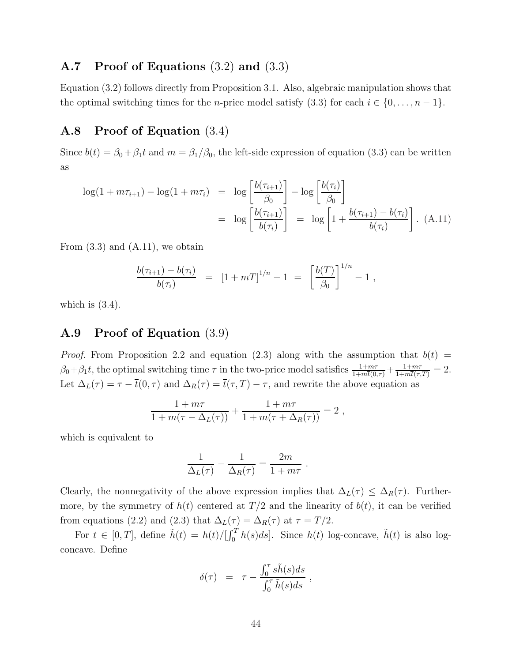### A.7 Proof of Equations (3.2) and (3.3)

Equation (3.2) follows directly from Proposition 3.1. Also, algebraic manipulation shows that the optimal switching times for the *n*-price model satisfy (3.3) for each  $i \in \{0, \ldots, n-1\}$ .

#### A.8 Proof of Equation (3.4)

Since  $b(t) = \beta_0 + \beta_1 t$  and  $m = \beta_1/\beta_0$ , the left-side expression of equation (3.3) can be written as

$$
\log(1 + m\tau_{i+1}) - \log(1 + m\tau_i) = \log\left[\frac{b(\tau_{i+1})}{\beta_0}\right] - \log\left[\frac{b(\tau_i)}{\beta_0}\right] \n= \log\left[\frac{b(\tau_{i+1})}{b(\tau_i)}\right] = \log\left[1 + \frac{b(\tau_{i+1}) - b(\tau_i)}{b(\tau_i)}\right].
$$
 (A.11)

From  $(3.3)$  and  $(A.11)$ , we obtain

$$
\frac{b(\tau_{i+1}) - b(\tau_i)}{b(\tau_i)} = [1 + mT]^{1/n} - 1 = \left[\frac{b(T)}{\beta_0}\right]^{1/n} - 1,
$$

which is  $(3.4)$ .

#### A.9 Proof of Equation (3.9)

*Proof.* From Proposition 2.2 and equation (2.3) along with the assumption that  $b(t)$  =  $\beta_0 + \beta_1 t$ , the optimal switching time  $\tau$  in the two-price model satisfies  $\frac{1+m\tau}{1+m\overline{t}(0,\tau)} + \frac{1+m\tau}{1+m\overline{t}(\tau,T)} = 2$ . Let  $\Delta_L(\tau) = \tau - \overline{t}(0, \tau)$  and  $\Delta_R(\tau) = \overline{t}(\tau, T) - \tau$ , and rewrite the above equation as

$$
\frac{1 + m\tau}{1 + m(\tau - \Delta_L(\tau))} + \frac{1 + m\tau}{1 + m(\tau + \Delta_R(\tau))} = 2,
$$

which is equivalent to

$$
\frac{1}{\Delta_L(\tau)} - \frac{1}{\Delta_R(\tau)} = \frac{2m}{1 + m\tau} .
$$

Clearly, the nonnegativity of the above expression implies that  $\Delta_L(\tau) \leq \Delta_R(\tau)$ . Furthermore, by the symmetry of  $h(t)$  centered at  $T/2$  and the linearity of  $b(t)$ , it can be verified from equations (2.2) and (2.3) that  $\Delta_L(\tau) = \Delta_R(\tau)$  at  $\tau = T/2$ .

For  $t \in [0, T]$ , define  $\tilde{h}(t) = h(t)/[\int_0^T h(s)ds]$ . Since  $h(t)$  log-concave,  $\tilde{h}(t)$  is also logconcave. Define

$$
\delta(\tau) \;\; = \;\; \tau - \frac{\int_0^\tau s \tilde{h}(s) ds}{\int_0^\tau \tilde{h}(s) ds} \; ,
$$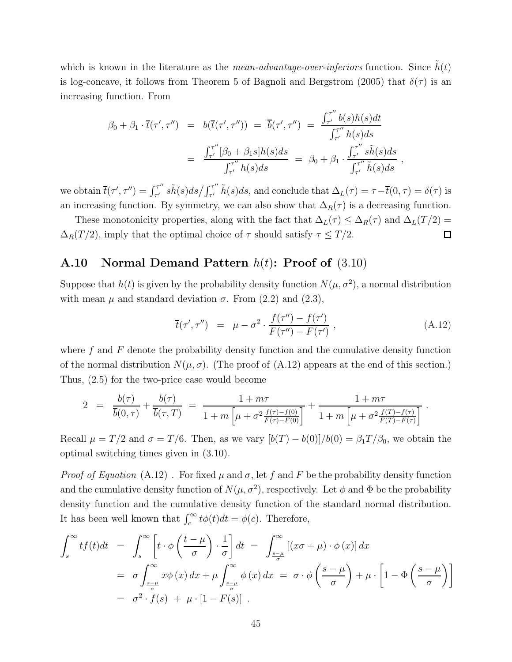which is known in the literature as the *mean-advantage-over-inferiors* function. Since  $h(t)$ is log-concave, it follows from Theorem 5 of Bagnoli and Bergstrom (2005) that  $\delta(\tau)$  is an increasing function. From

$$
\beta_0 + \beta_1 \cdot \overline{t}(\tau', \tau'') = b(\overline{t}(\tau', \tau'')) = \overline{b}(\tau', \tau'') = \frac{\int_{\tau'}^{\tau''} b(s)h(s)dt}{\int_{\tau'}^{\tau''} h(s)ds}
$$

$$
= \frac{\int_{\tau'}^{\tau''} [\beta_0 + \beta_1 s]h(s)ds}{\int_{\tau'}^{\tau''} h(s)ds} = \beta_0 + \beta_1 \cdot \frac{\int_{\tau'}^{\tau''} s\tilde{h}(s)ds}{\int_{\tau'}^{\tau''} \tilde{h}(s)ds}
$$

we obtain  $\overline{t}(\tau', \tau'') = \int_{\tau'}^{\tau''}$  $\int_{\tau'}^{\tau''}\frac{\tilde{\delta h}(s)ds}{\int_{\tau'}^{\tau''}}$  $\tau''$ ,  $\tilde{h}(s)ds$ , and conclude that  $\Delta_L(\tau) = \tau - \overline{t}(0, \tau) = \delta(\tau)$  is an increasing function. By symmetry, we can also show that  $\Delta_R(\tau)$  is a decreasing function.

These monotonicity properties, along with the fact that  $\Delta_L(\tau) \leq \Delta_R(\tau)$  and  $\Delta_L(T/2) =$  $\Delta_R(T/2)$ , imply that the optimal choice of  $\tau$  should satisfy  $\tau \leq T/2$ .  $\Box$ 

### A.10 Normal Demand Pattern  $h(t)$ : Proof of  $(3.10)$

Suppose that  $h(t)$  is given by the probability density function  $N(\mu, \sigma^2)$ , a normal distribution with mean  $\mu$  and standard deviation  $\sigma$ . From (2.2) and (2.3),

$$
\overline{t}(\tau', \tau'') = \mu - \sigma^2 \cdot \frac{f(\tau'') - f(\tau')}{F(\tau'') - F(\tau')} , \qquad (A.12)
$$

,

where  $f$  and  $F$  denote the probability density function and the cumulative density function of the normal distribution  $N(\mu, \sigma)$ . (The proof of (A.12) appears at the end of this section.) Thus, (2.5) for the two-price case would become

$$
2 = \frac{b(\tau)}{\overline{b}(0,\tau)} + \frac{b(\tau)}{\overline{b}(\tau,T)} = \frac{1+m\tau}{1+m\left[\mu+\sigma^2\frac{f(\tau)-f(0)}{F(\tau)-F(0)}\right]} + \frac{1+m\tau}{1+m\left[\mu+\sigma^2\frac{f(T)-f(\tau)}{F(T)-F(\tau)}\right]}.
$$

Recall  $\mu = T/2$  and  $\sigma = T/6$ . Then, as we vary  $[b(T) - b(0)]/b(0) = \beta_1 T/\beta_0$ , we obtain the optimal switching times given in (3.10).

*Proof of Equation* (A.12) *.* For fixed  $\mu$  and  $\sigma$ , let f and F be the probability density function and the cumulative density function of  $N(\mu, \sigma^2)$ , respectively. Let  $\phi$  and  $\Phi$  be the probability density function and the cumulative density function of the standard normal distribution. It has been well known that  $\int_c^{\infty} t \phi(t) dt = \phi(c)$ . Therefore,

$$
\int_{s}^{\infty} t f(t) dt = \int_{s}^{\infty} \left[ t \cdot \phi \left( \frac{t - \mu}{\sigma} \right) \cdot \frac{1}{\sigma} \right] dt = \int_{\frac{s - \mu}{\sigma}}^{\infty} \left[ (x \sigma + \mu) \cdot \phi(x) \right] dx
$$

$$
= \sigma \int_{\frac{s - \mu}{\sigma}}^{\infty} x \phi(x) dx + \mu \int_{\frac{s - \mu}{\sigma}}^{\infty} \phi(x) dx = \sigma \cdot \phi \left( \frac{s - \mu}{\sigma} \right) + \mu \cdot \left[ 1 - \Phi \left( \frac{s - \mu}{\sigma} \right) \right]
$$

$$
= \sigma^{2} \cdot f(s) + \mu \cdot [1 - F(s)].
$$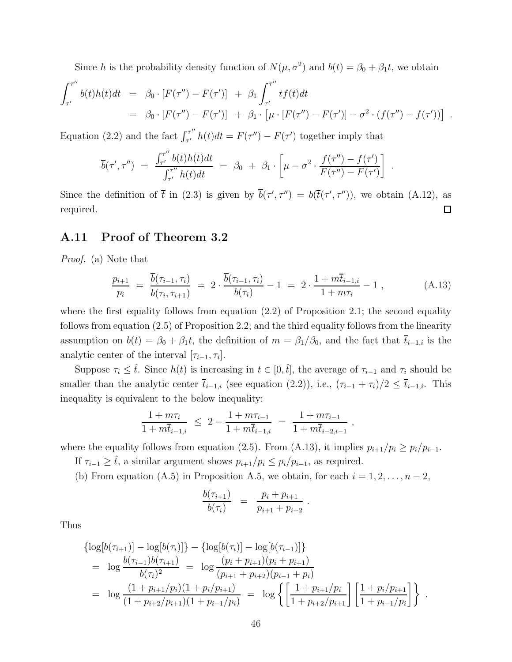Since h is the probability density function of  $N(\mu, \sigma^2)$  and  $b(t) = \beta_0 + \beta_1 t$ , we obtain

$$
\int_{\tau'}^{\tau''} b(t)h(t)dt = \beta_0 \cdot [F(\tau'') - F(\tau')] + \beta_1 \int_{\tau'}^{\tau''} tf(t)dt \n= \beta_0 \cdot [F(\tau'') - F(\tau')] + \beta_1 \cdot [\mu \cdot [F(\tau'') - F(\tau')] - \sigma^2 \cdot (f(\tau'') - f(\tau'))] .
$$

Equation (2.2) and the fact  $\int_{\tau'}^{\tau''}$  $\tau'_{\tau'} h(t)dt = F(\tau'') - F(\tau')$  together imply that

$$
\overline{b}(\tau', \tau'') = \frac{\int_{\tau'}^{\tau''} b(t)h(t)dt}{\int_{\tau'}^{\tau''} h(t)dt} = \beta_0 + \beta_1 \cdot \left[ \mu - \sigma^2 \cdot \frac{f(\tau'') - f(\tau')}{F(\tau'') - F(\tau')} \right]
$$

Since the definition of  $\bar{t}$  in (2.3) is given by  $b(\tau', \tau'') = b(\bar{t}(\tau', \tau''))$ , we obtain (A.12), as  $\Box$ required.

#### A.11 Proof of Theorem 3.2

*Proof.* (a) Note that

$$
\frac{p_{i+1}}{p_i} = \frac{\overline{b}(\tau_{i-1}, \tau_i)}{\overline{b}(\tau_i, \tau_{i+1})} = 2 \cdot \frac{\overline{b}(\tau_{i-1}, \tau_i)}{b(\tau_i)} - 1 = 2 \cdot \frac{1 + m\overline{t}_{i-1,i}}{1 + m\tau_i} - 1 ,
$$
\n(A.13)

.

where the first equality follows from equation  $(2.2)$  of Proposition 2.1; the second equality follows from equation (2.5) of Proposition 2.2; and the third equality follows from the linearity assumption on  $b(t) = \beta_0 + \beta_1 t$ , the definition of  $m = \beta_1/\beta_0$ , and the fact that  $\bar{t}_{i-1,i}$  is the analytic center of the interval  $[\tau_{i-1}, \tau_i]$ .

Suppose  $\tau_i \leq \hat{t}$ . Since  $h(t)$  is increasing in  $t \in [0, \hat{t}]$ , the average of  $\tau_{i-1}$  and  $\tau_i$  should be smaller than the analytic center  $\bar{t}_{i-1,i}$  (see equation (2.2)), i.e.,  $(\tau_{i-1} + \tau_i)/2 \leq \bar{t}_{i-1,i}$ . This inequality is equivalent to the below inequality:

$$
\frac{1 + m\tau_i}{1 + m\overline{t}_{i-1,i}} \ \leq \ 2 - \frac{1 + m\tau_{i-1}}{1 + m\overline{t}_{i-1,i}} \ = \ \frac{1 + m\tau_{i-1}}{1 + m\overline{t}_{i-2,i-1}} \ ,
$$

where the equality follows from equation (2.5). From (A.13), it implies  $p_{i+1}/p_i \geq p_i/p_{i-1}$ .

If  $\tau_{i-1} \geq \hat{t}$ , a similar argument shows  $p_{i+1}/p_i \leq p_i/p_{i-1}$ , as required.

(b) From equation (A.5) in Proposition A.5, we obtain, for each  $i = 1, 2, \ldots, n - 2$ ,

$$
\frac{b(\tau_{i+1})}{b(\tau_i)} = \frac{p_i + p_{i+1}}{p_{i+1} + p_{i+2}}.
$$

Thus

$$
\begin{aligned}\n\{\log[b(\tau_{i+1})] - \log[b(\tau_i)]\} - \{\log[b(\tau_i)] - \log[b(\tau_{i-1})]\} \\
= \log \frac{b(\tau_{i-1})b(\tau_{i+1})}{b(\tau_i)^2} = \log \frac{(p_i + p_{i+1})(p_i + p_{i+1})}{(p_{i+1} + p_{i+2})(p_{i-1} + p_i)} \\
= \log \frac{(1 + p_{i+1}/p_i)(1 + p_i/p_{i+1})}{(1 + p_{i+2}/p_{i+1})(1 + p_{i-1}/p_i)} = \log \left\{ \left[ \frac{1 + p_{i+1}/p_i}{1 + p_{i+2}/p_{i+1}} \right] \left[ \frac{1 + p_i/p_{i+1}}{1 + p_{i-1}/p_i} \right] \right\} .\n\end{aligned}
$$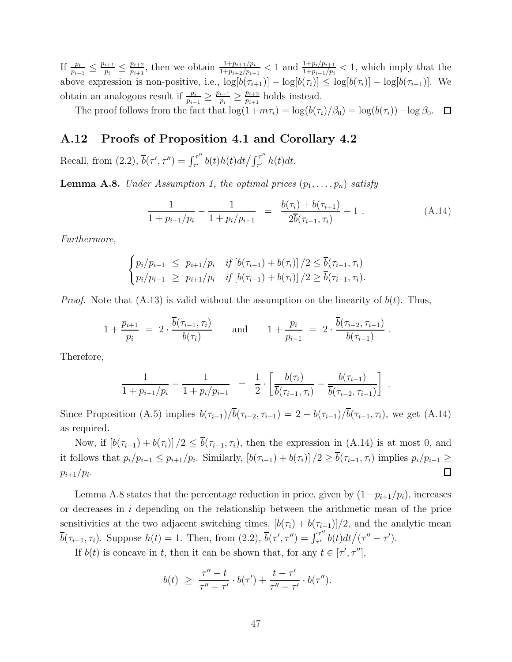If  $\frac{p_i}{p_{i-1}} \leq \frac{p_{i+1}}{p_i}$  $\frac{i+1}{p_i} \leq \frac{p_{i+2}}{p_{i+1}}$  $\frac{p_{i+2}}{p_{i+1}}$ , then we obtain  $\frac{1+p_{i+1}/p_i}{1+p_{i+2}/p_{i+1}} < 1$  and  $\frac{1+p_i/p_{i+1}}{1+p_{i-1}/p_i} < 1$ , which imply that the above expression is non-positive, i.e.,  $\log[b(\tau_{i+1})] - \log[b(\tau_i)] \leq \log[b(\tau_i)] - \log[b(\tau_{i-1})]$ . We obtain an analogous result if  $\frac{p_i}{p_{i-1}} \ge \frac{p_{i+1}}{p_i}$  $\frac{i+1}{p_i} \geq \frac{p_{i+2}}{p_{i+1}}$  $\frac{p_{i+2}}{p_{i+1}}$  holds instead.

The proof follows from the fact that  $\log(1+m\tau_i) = \log(b(\tau_i)/\beta_0) = \log(b(\tau_i)) - \log \beta_0$ .  $\Box$ 

### A.12 Proofs of Proposition 4.1 and Corollary 4.2

Recall, from  $(2.2)$ ,  $\overline{b}(\tau', \tau'') = \int_{\tau'}^{\tau''}$  $\int_{\tau'}^{\tau''} b(t)h(t)dt / \int_{\tau'}^{\tau''}$  $\int_{\tau'}^{\tau} h(t) dt$ .

**Lemma A.8.** *Under Assumption 1, the optimal prices*  $(p_1, \ldots, p_n)$  *satisfy* 

$$
\frac{1}{1 + p_{i+1}/p_i} - \frac{1}{1 + p_i/p_{i-1}} = \frac{b(\tau_i) + b(\tau_{i-1})}{2\overline{b}(\tau_{i-1}, \tau_i)} - 1.
$$
\n(A.14)

.

.

*Furthermore,*

$$
\begin{cases} p_i/p_{i-1} \leq p_{i+1}/p_i & \text{if } [b(\tau_{i-1}) + b(\tau_i)]/2 \leq \overline{b}(\tau_{i-1}, \tau_i) \\ p_i/p_{i-1} \geq p_{i+1}/p_i & \text{if } [b(\tau_{i-1}) + b(\tau_i)]/2 \geq \overline{b}(\tau_{i-1}, \tau_i). \end{cases}
$$

*Proof.* Note that  $(A.13)$  is valid without the assumption on the linearity of  $b(t)$ . Thus,

$$
1 + \frac{p_{i+1}}{p_i} = 2 \cdot \frac{\overline{b}(\tau_{i-1}, \tau_i)}{b(\tau_i)} \quad \text{and} \quad 1 + \frac{p_i}{p_{i-1}} = 2 \cdot \frac{\overline{b}(\tau_{i-2}, \tau_{i-1})}{b(\tau_{i-1})}
$$

Therefore,

$$
\frac{1}{1 + p_{i+1}/p_i} - \frac{1}{1 + p_i/p_{i-1}} = \frac{1}{2} \cdot \left[ \frac{b(\tau_i)}{\overline{b}(\tau_{i-1}, \tau_i)} - \frac{b(\tau_{i-1})}{\overline{b}(\tau_{i-2}, \tau_{i-1})} \right]
$$

Since Proposition (A.5) implies  $b(\tau_{i-1})/\overline{b}(\tau_{i-2}, \tau_{i-1}) = 2 - b(\tau_{i-1})/\overline{b}(\tau_{i-1}, \tau_i)$ , we get (A.14) as required.

Now, if  $[b(\tau_{i-1}) + b(\tau_i)]/2 \leq \overline{b}(\tau_{i-1}, \tau_i)$ , then the expression in (A.14) is at most 0, and it follows that  $p_i/p_{i-1} \leq p_{i+1}/p_i$ . Similarly,  $[b(\tau_{i-1}) + b(\tau_i)]/2 \geq b(\tau_{i-1}, \tau_i)$  implies  $p_i/p_{i-1} \geq$  $\Box$  $p_{i+1}/p_i$ .

Lemma A.8 states that the percentage reduction in price, given by  $(1-p_{i+1}/p_i)$ , increases or decreases in  $i$  depending on the relationship between the arithmetic mean of the price sensitivities at the two adjacent switching times,  $[b(\tau_i) + b(\tau_{i-1})]/2$ , and the analytic mean  $\overline{b}(\tau_{i-1}, \tau_i)$ . Suppose  $h(t) = 1$ . Then, from  $(2.2)$ ,  $\overline{b}(\tau', \tau'') = \int_{\tau'}^{\tau''}$  $\int_{\tau'}^{\tau} b(t)dt/(\tau''-\tau').$ 

If  $b(t)$  is concave in t, then it can be shown that, for any  $t \in [\tau', \tau'']$ ,

$$
b(t) \ \geq \ \frac{\tau'' - t}{\tau'' - \tau'} \cdot b(\tau') + \frac{t - \tau'}{\tau'' - \tau'} \cdot b(\tau'').
$$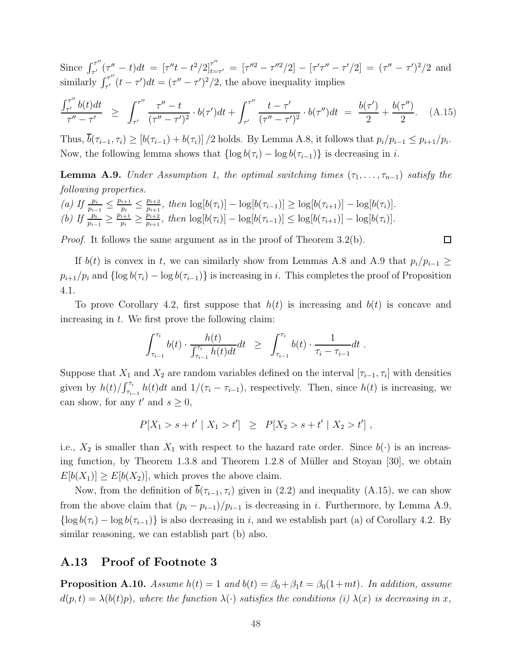Since  $\int_{\tau'}^{\tau''}$  $\tau''(\tau'' - t)dt = [\tau''t - t^2/2]_{t=0}^{\tau''}$  $(t'' - t)dt = [\tau''t - t^2/2]_{t=\tau'}^{\tau''} = [\tau''^2 - \tau''^2/2] - [\tau'\tau'' - \tau'/2] = (\tau'' - \tau')^2/2$  and similarly  $\int_{\tau'}^{\tau''}(t-\tau')dt = (\tau'' - \tau')^2/2$ , the above inequality implies

$$
\frac{\int_{\tau'}^{\tau''} b(t)dt}{\tau'' - \tau'} \ge \int_{\tau'}^{\tau''} \frac{\tau'' - t}{(\tau'' - \tau')^2} \cdot b(\tau')dt + \int_{\tau'}^{\tau''} \frac{t - \tau'}{(\tau'' - \tau')^2} \cdot b(\tau'')dt = \frac{b(\tau')}{2} + \frac{b(\tau'')}{2}.
$$
 (A.15)

Thus,  $b(\tau_{i-1}, \tau_i) \geq [b(\tau_{i-1}) + b(\tau_i)]/2$  holds. By Lemma A.8, it follows that  $p_i/p_{i-1} \leq p_{i+1}/p_i$ . Now, the following lemma shows that  $\{\log b(\tau_i) - \log b(\tau_{i-1})\}$  is decreasing in *i*.

**Lemma A.9.** *Under Assumption 1, the optimal switching times*  $(\tau_1, \ldots, \tau_{n-1})$  *satisfy the following properties.*

(a) If 
$$
\frac{p_i}{p_{i-1}} \leq \frac{p_{i+1}}{p_i} \leq \frac{p_{i+2}}{p_{i+1}}
$$
, then  $\log[b(\tau_i)] - \log[b(\tau_{i-1})] \geq \log[b(\tau_{i+1})] - \log[b(\tau_i)]$ .  
(b) If  $\frac{p_i}{p_{i-1}} \geq \frac{p_{i+1}}{p_i} \geq \frac{p_{i+2}}{p_{i+1}}$ , then  $\log[b(\tau_i)] - \log[b(\tau_{i-1})] \leq \log[b(\tau_{i+1})] - \log[b(\tau_i)]$ .

*Proof.* It follows the same argument as in the proof of Theorem 3.2(b).

If  $b(t)$  is convex in t, we can similarly show from Lemmas A.8 and A.9 that  $p_i/p_{i-1} \geq$  $p_{i+1}/p_i$  and  $\{\log b(\tau_i) - \log b(\tau_{i-1})\}$  is increasing in i. This completes the proof of Proposition 4.1.

To prove Corollary 4.2, first suppose that  $h(t)$  is increasing and  $b(t)$  is concave and increasing in  $t$ . We first prove the following claim:

$$
\int_{\tau_{i-1}}^{\tau_i} b(t) \cdot \frac{h(t)}{\int_{\tau_{i-1}}^{\tau_i} h(t)dt} dt \geq \int_{\tau_{i-1}}^{\tau_i} b(t) \cdot \frac{1}{\tau_i - \tau_{i-1}} dt.
$$

Suppose that  $X_1$  and  $X_2$  are random variables defined on the interval  $[\tau_{i-1}, \tau_i]$  with densities given by  $h(t)/\int_{\tau_{i-1}}^{\tau_i} h(t)dt$  and  $1/(\tau_i - \tau_{i-1})$ , respectively. Then, since  $h(t)$  is increasing, we can show, for any  $t'$  and  $s \geq 0$ ,

$$
P[X_1 > s+t' | X_1 > t'] \ge P[X_2 > s+t' | X_2 > t'] ,
$$

i.e.,  $X_2$  is smaller than  $X_1$  with respect to the hazard rate order. Since  $b(\cdot)$  is an increasing function, by Theorem 1.3.8 and Theorem 1.2.8 of Müller and Stoyan  $[30]$ , we obtain  $E[b(X_1)] \ge E[b(X_2)]$ , which proves the above claim.

Now, from the definition of  $b(\tau_{i-1}, \tau_i)$  given in (2.2) and inequality (A.15), we can show from the above claim that  $(p_i - p_{i-1})/p_{i-1}$  is decreasing in i. Furthermore, by Lemma A.9,  $\{\log b(\tau_i) - \log b(\tau_{i-1})\}$  is also decreasing in i, and we establish part (a) of Corollary 4.2. By similar reasoning, we can establish part (b) also.

#### A.13 Proof of Footnote 3

**Proposition A.10.** *Assume*  $h(t) = 1$  *and*  $b(t) = \beta_0 + \beta_1 t = \beta_0(1 + mt)$ *. In addition, assume*  $d(p, t) = \lambda(b(t)p)$ , where the function  $\lambda(\cdot)$  satisfies the conditions (i)  $\lambda(x)$  is decreasing in x,

□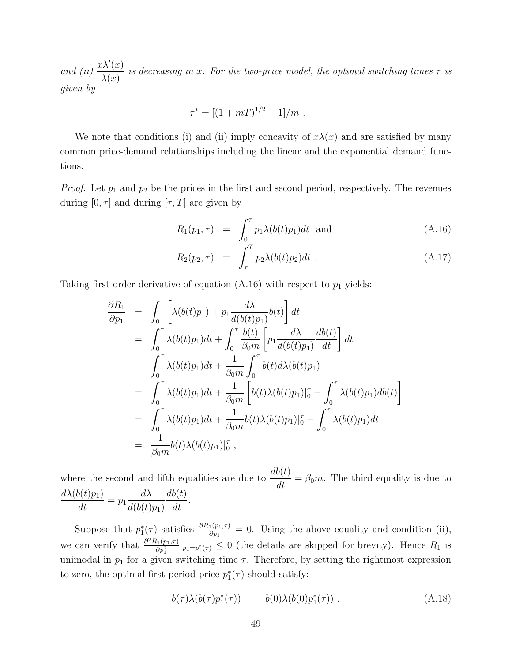*and (ii)*  $\frac{x\lambda'(x)}{\lambda(x)}$  $\lambda(x)$ *is decreasing in* x. For the two-price model, the optimal switching times  $\tau$  *is given by*

$$
\tau^* = [(1 + mT)^{1/2} - 1]/m.
$$

We note that conditions (i) and (ii) imply concavity of  $x\lambda(x)$  and are satisfied by many common price-demand relationships including the linear and the exponential demand functions.

*Proof.* Let  $p_1$  and  $p_2$  be the prices in the first and second period, respectively. The revenues during  $[0, \tau]$  and during  $[\tau, T]$  are given by

$$
R_1(p_1, \tau) = \int_0^{\tau} p_1 \lambda(b(t)p_1) dt \text{ and } (A.16)
$$

$$
R_2(p_2, \tau) = \int_{\tau}^{T} p_2 \lambda(b(t)p_2) dt . \qquad (A.17)
$$

Taking first order derivative of equation  $(A.16)$  with respect to  $p_1$  yields:

$$
\frac{\partial R_1}{\partial p_1} = \int_0^{\tau} \left[ \lambda(b(t)p_1) + p_1 \frac{d\lambda}{d(b(t)p_1)} b(t) \right] dt
$$
  
\n
$$
= \int_0^{\tau} \lambda(b(t)p_1) dt + \int_0^{\tau} \frac{b(t)}{\beta_0 m} \left[ p_1 \frac{d\lambda}{d(b(t)p_1)} \frac{db(t)}{dt} \right] dt
$$
  
\n
$$
= \int_0^{\tau} \lambda(b(t)p_1) dt + \frac{1}{\beta_0 m} \int_0^{\tau} b(t) d\lambda(b(t)p_1)
$$
  
\n
$$
= \int_0^{\tau} \lambda(b(t)p_1) dt + \frac{1}{\beta_0 m} \left[ b(t) \lambda(b(t)p_1) \right]_0^{\tau} - \int_0^{\tau} \lambda(b(t)p_1) db(t)
$$
  
\n
$$
= \int_0^{\tau} \lambda(b(t)p_1) dt + \frac{1}{\beta_0 m} b(t) \lambda(b(t)p_1) \Big|_0^{\tau} - \int_0^{\tau} \lambda(b(t)p_1) dt
$$
  
\n
$$
= \frac{1}{\beta_0 m} b(t) \lambda(b(t)p_1) \Big|_0^{\tau},
$$

where the second and fifth equalities are due to  $\frac{db(t)}{dt}$  $\frac{\partial(u)}{\partial t} = \beta_0 m$ . The third equality is due to  $d\lambda(b(t)p_1)$  $\frac{d}{dt} = p_1$  $d\lambda$  $d(b(t)p_1)$  $db(t)$  $\frac{d}{dt}$ .

Suppose that  $p_1^*(\tau)$  satisfies  $\frac{\partial R_1(p_1,\tau)}{\partial p_1} = 0$ . Using the above equality and condition (ii), we can verify that  $\frac{\partial^2 R_1(p_1,\tau)}{\partial p_1^2}$  $\frac{\partial^2 [D_1, \tau)}{\partial p_1^2}|_{p_1=p_1^*(\tau)} \leq 0$  (the details are skipped for brevity). Hence  $R_1$  is unimodal in  $p_1$  for a given switching time  $\tau$ . Therefore, by setting the rightmost expression to zero, the optimal first-period price  $p_1^*(\tau)$  should satisfy:

$$
b(\tau)\lambda(b(\tau)p_1^*(\tau)) = b(0)\lambda(b(0)p_1^*(\tau)) . \tag{A.18}
$$